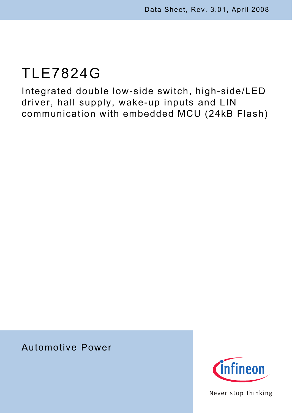Integrated double low-side switch, high-side/LED driver, hall supply, wake-up inputs and LIN communication with embedded MCU (24kB Flash)

# Automotive Power



Never stop thinking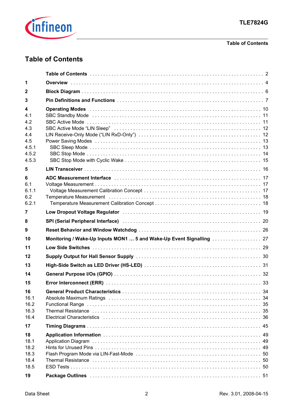

### **Table of Contents**

# <span id="page-1-0"></span>**Table of Contents**

| 1                                            |                                                                                                                                                                                                                                                                                                                                                                                                                                                                 |  |
|----------------------------------------------|-----------------------------------------------------------------------------------------------------------------------------------------------------------------------------------------------------------------------------------------------------------------------------------------------------------------------------------------------------------------------------------------------------------------------------------------------------------------|--|
| $\mathbf{2}$                                 |                                                                                                                                                                                                                                                                                                                                                                                                                                                                 |  |
| 3                                            |                                                                                                                                                                                                                                                                                                                                                                                                                                                                 |  |
| 4<br>4.1<br>4.2                              | Operating Modes increases and the contract of the Contract of the Contract of the Contract of the Contract of the Contract of the Contract of the Contract of the Contract of the Contract of the Contract of the Contract of<br>SBC Standby Mode (and according to the control of the control of the control of the standard standard state of the standard standard standard standard standard standard standard standard standard standard standard standard |  |
| 4.3<br>4.4<br>4.5<br>4.5.1<br>4.5.2<br>4.5.3 |                                                                                                                                                                                                                                                                                                                                                                                                                                                                 |  |
| 5                                            |                                                                                                                                                                                                                                                                                                                                                                                                                                                                 |  |
| 6<br>6.1<br>6.1.1<br>6.2<br>6.2.1            | Temperature Measurement (and all and all and all and all and all and all and all and all and all and all and a                                                                                                                                                                                                                                                                                                                                                  |  |
| 7                                            | Low Dropout Voltage Regulator (and all and all and all and all and all and all and all and all and all and all a                                                                                                                                                                                                                                                                                                                                                |  |
| 8                                            |                                                                                                                                                                                                                                                                                                                                                                                                                                                                 |  |
| 9                                            |                                                                                                                                                                                                                                                                                                                                                                                                                                                                 |  |
| 10                                           | Monitoring / Wake-Up Inputs MON1  5 and Wake-Up Event Signalling  27                                                                                                                                                                                                                                                                                                                                                                                            |  |
| 11                                           |                                                                                                                                                                                                                                                                                                                                                                                                                                                                 |  |
| $12 \,$                                      |                                                                                                                                                                                                                                                                                                                                                                                                                                                                 |  |
| 13                                           |                                                                                                                                                                                                                                                                                                                                                                                                                                                                 |  |
| 14                                           |                                                                                                                                                                                                                                                                                                                                                                                                                                                                 |  |
| 15                                           |                                                                                                                                                                                                                                                                                                                                                                                                                                                                 |  |
| 16<br>16.1<br>16.2<br>16.3<br>16.4           | Absolute Maximum Ratings (and account contained a series and a series and state of the SAS of the Maximum Ratings (and account of the Maximum Ratings)<br>Thermal Resistance in the contract of the contract of the contract of the contract of the contract of the contract of the contract of the contract of the contract of the contract of the contract of the contract of the cont                                                                        |  |
| 17                                           |                                                                                                                                                                                                                                                                                                                                                                                                                                                                 |  |
| 18<br>18.1<br>18.2<br>18.3<br>18.4<br>18.5   | Thermal Resistance in the contract of the contract of the contract of the contract of the contract of the contract of the contract of the contract of the contract of the contract of the contract of the contract of the cont                                                                                                                                                                                                                                  |  |
| 19                                           |                                                                                                                                                                                                                                                                                                                                                                                                                                                                 |  |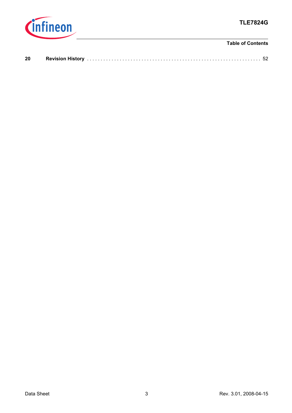

### **Table of Contents**

| 20 | <b>Revision History</b> . |  |
|----|---------------------------|--|
|    |                           |  |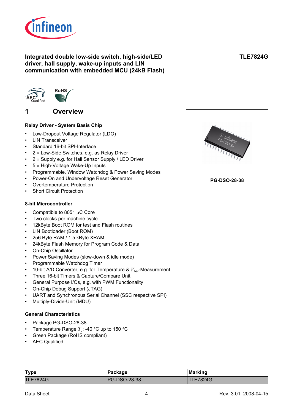

### **Integrated double low-side switch, high-side/LED driver, hall supply, wake-up inputs and LIN communication with embedded MCU (24kB Flash)**



# <span id="page-3-0"></span>**1 Overview**

### **Relay Driver - System Basis Chip**

- Low-Dropout Voltage Regulator (LDO)
- **LIN Transceiver**
- Standard 16-bit SPI-Interface
- $2 \times$  Low-Side Switches, e.g. as Relay Driver
- $2 \times$  Supply e.g. for Hall Sensor Supply / LED Driver
- $5 \times$  High-Voltage Wake-Up Inputs
- Programmable. Window Watchdog & Power Saving Modes
- Power-On and Undervoltage Reset Generator
- Overtemperature Protection
- **Short Circuit Protection**

### **8-bit Microcontroller**

- Compatible to 8051 μC Core
- Two clocks per machine cycle
- 12kByte Boot ROM for test and Flash routines
- LIN Bootloader (Boot ROM)
- 256 Byte RAM / 1.5 kByte XRAM
- 24kByte Flash Memory for Program Code & Data
- On-Chip Oscillator
- Power Saving Modes (slow-down & idle mode)
- Programmable Watchdog Timer
- 10-bit A/D Converter, e.g. for Temperature &  $V_{\text{bat}}$ -Measurement
- Three 16-bit Timers & Capture/Compare Unit
- General Purpose I/Os, e.g. with PWM Functionality
- On-Chip Debug Support (JTAG)
- UART and Synchronous Serial Channel (SSC respective SPI)
- Multiply-Divide-Unit (MDU)

### **General Characteristics**

- Package PG-DSO-28-38
- Temperature Range  $T_{\rm J}$ : -40 °C up to 150 °C
- Green Package (RoHS compliant)
- AEC Qualified

| <b>Type</b>     | Package             | <b>Marking</b>  |
|-----------------|---------------------|-----------------|
| <b>TLE7824G</b> | <b>PG-DSO-28-38</b> | <b>TLE7824G</b> |



**PG-DSO-28-38**

**TLE7824G**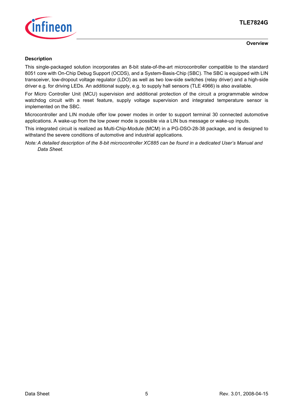

#### **Overview**

### **Description**

This single-packaged solution incorporates an 8-bit state-of-the-art microcontroller compatible to the standard 8051 core with On-Chip Debug Support (OCDS), and a System-Basis-Chip (SBC). The SBC is equipped with LIN transceiver, low-dropout voltage regulator (LDO) as well as two low-side switches (relay driver) and a high-side driver e.g. for driving LEDs. An additional supply, e.g. to supply hall sensors (TLE 4966) is also available.

For Micro Controller Unit (MCU) supervision and additional protection of the circuit a programmable window watchdog circuit with a reset feature, supply voltage supervision and integrated temperature sensor is implemented on the SBC.

Microcontroller and LIN module offer low power modes in order to support terminal 30 connected automotive applications. A wake-up from the low power mode is possible via a LIN bus message or wake-up inputs.

This integrated circuit is realized as Multi-Chip-Module (MCM) in a PG-DSO-28-38 package, and is designed to withstand the severe conditions of automotive and industrial applications.

*Note: A detailed description of the 8-bit microcontroller XC885 can be found in a dedicated User's Manual and Data Sheet.*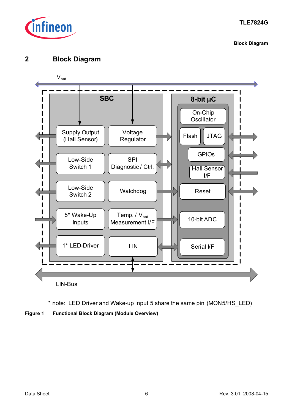

**Block Diagram**

# <span id="page-5-0"></span>**2 Block Diagram**

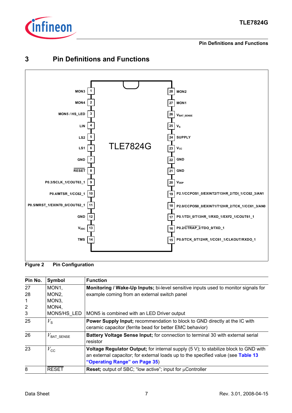

**Pin Definitions and Functions**



# <span id="page-6-0"></span>**3 Pin Definitions and Functions**

**Figure 2 Pin Configuration**

| Pin No.        | Symbol                    | <b>Function</b>                                                                                    |
|----------------|---------------------------|----------------------------------------------------------------------------------------------------|
| 27             | MON <sub>1</sub>          | <b>Monitoring / Wake-Up Inputs;</b> bi-level sensitive inputs used to monitor signals for          |
| 28             | MON <sub>2</sub>          | example coming from an external switch panel                                                       |
| 1              | MON <sub>3</sub>          |                                                                                                    |
| $\overline{2}$ | MON4,                     |                                                                                                    |
| 3              | MON5/HS LED               | MON5 is combined with an LED Driver output                                                         |
| 25             | $V_{\rm s}$               | <b>Power Supply Input; recommendation to block to GND directly at the IC with</b>                  |
|                |                           | ceramic capacitor (ferrite bead for better EMC behavior)                                           |
| 26             | $V_{\mathsf{BAT\_SENSE}}$ | <b>Battery Voltage Sense Input; for connection to terminal 30 with external serial</b><br>resistor |
| 23             | $V_{\rm CC}$              | Voltage Regulator Output; for internal supply (5 V); to stabilize block to GND with                |
|                |                           | an external capacitor; for external loads up to the specified value (see Table 13                  |
|                |                           | "Operating Range" on Page 35)                                                                      |
| 8              | <b>RESET</b>              | <b>Reset;</b> output of SBC; "low active"; input for $\mu$ Controller                              |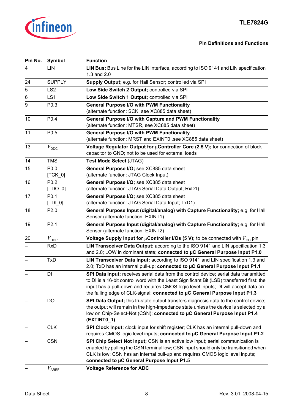

### **Pin Definitions and Functions**

| Pin No. | Symbol            | <b>Function</b>                                                                                                                                                                                                                                                                                                                                         |
|---------|-------------------|---------------------------------------------------------------------------------------------------------------------------------------------------------------------------------------------------------------------------------------------------------------------------------------------------------------------------------------------------------|
| 4       | LIN               | LIN Bus; Bus Line for the LIN interface, according to ISO 9141 and LIN specification<br>1.3 and 2.0                                                                                                                                                                                                                                                     |
| 24      | <b>SUPPLY</b>     | Supply Output; e.g. for Hall Sensor; controlled via SPI                                                                                                                                                                                                                                                                                                 |
| 5       | LS <sub>2</sub>   | Low Side Switch 2 Output; controlled via SPI                                                                                                                                                                                                                                                                                                            |
| 6       | LS1               | Low Side Switch 1 Output; controlled via SPI                                                                                                                                                                                                                                                                                                            |
| 9       | P <sub>0.3</sub>  | <b>General Purpose I/O with PWM Functionality</b>                                                                                                                                                                                                                                                                                                       |
|         |                   | (alternate function: SCK, see XC885 data sheet)                                                                                                                                                                                                                                                                                                         |
| 10      | P <sub>0.4</sub>  | General Purpose I/O with Capture and PWM Functionality                                                                                                                                                                                                                                                                                                  |
|         |                   | (alternate function: MTSR, see XC885 data sheet)                                                                                                                                                                                                                                                                                                        |
| 11      | P0.5              | <b>General Purpose I/O with PWM Functionality</b>                                                                                                                                                                                                                                                                                                       |
|         |                   | (alternate function: MRST and EXINT0, see XC885 data sheet)                                                                                                                                                                                                                                                                                             |
| 13      | $V_{\text{DDC}}$  | Voltage Regulator Output for µController Core (2.5 V); for connection of block<br>capacitor to GND; not to be used for external loads                                                                                                                                                                                                                   |
| 14      | <b>TMS</b>        | Test Mode Select (JTAG)                                                                                                                                                                                                                                                                                                                                 |
| 15      | P <sub>0.0</sub>  | General Purpose I/O; see XC885 data sheet                                                                                                                                                                                                                                                                                                               |
|         | $[TCK_0]$         | (alternate function: JTAG Clock Input)                                                                                                                                                                                                                                                                                                                  |
| 16      | P <sub>0.2</sub>  | General Purpose I/O; see XC885 data sheet                                                                                                                                                                                                                                                                                                               |
|         | $[TDO_0]$         | (alternate function: JTAG Serial Data Output; RxD1)                                                                                                                                                                                                                                                                                                     |
| 17      | P0.1              | General Purpose I/O; see XC885 data sheet                                                                                                                                                                                                                                                                                                               |
|         | $[TDI_0]$         | (alternate function: JTAG Serial Data Input; TxD1)                                                                                                                                                                                                                                                                                                      |
| 18      | P2.0              | General Purpose Input (digital/analog) with Capture Functionality; e.g. for Hall<br>Sensor (alternate function: EXINT1)                                                                                                                                                                                                                                 |
| 19      | P2.1              | General Purpose Input (digital/analog) with Capture Functionality; e.g. for Hall<br>Sensor (alternate function: EXINT2)                                                                                                                                                                                                                                 |
| 20      | $V_{\text{DDP}}$  | Voltage Supply Input for $\mu$ Controller I/Os (5 V); to be connected with $V_{\text{CC}}$ pin                                                                                                                                                                                                                                                          |
|         | <b>RxD</b>        | LIN Transceiver Data Output; according to the ISO 9141 and LIN specification 1.3<br>and 2.0; LOW in dominant state; connected to µC General Purpose Input P1.0                                                                                                                                                                                          |
|         | <b>TxD</b>        | LIN Transceiver Data Input; according to ISO 9141 and LIN specification 1.3 and<br>2.0; TxD has an internal pull-up; connected to µC General Purpose Input P1.1                                                                                                                                                                                         |
|         | DI                | SPI Data Input; receives serial data from the control device; serial data transmitted<br>to DI is a 16-bit control word with the Least Significant Bit (LSB) transferred first: the<br>input has a pull-down and requires CMOS logic level inputs; DI will accept data on<br>the falling edge of CLK-signal; connected to µC General Purpose Input P1.3 |
|         | DO                | SPI Data Output; this tri-state output transfers diagnosis data to the control device;<br>the output will remain in the high-impedance state unless the device is selected by a<br>low on Chip-Select-Not (CSN); connected to µC General Purpose Input P1.4<br>(EXTINTO_1)                                                                              |
|         | <b>CLK</b>        | SPI Clock Input; clock input for shift register; CLK has an internal pull-down and<br>requires CMOS logic level inputs; connected to µC General Purpose Input P1.2                                                                                                                                                                                      |
|         | <b>CSN</b>        | SPI Chip Select Not Input; CSN is an active low input; serial communication is<br>enabled by pulling the CSN terminal low; CSN input should only be transitioned when<br>CLK is low; CSN has an internal pull-up and requires CMOS logic level inputs;<br>connected to µC General Purpose Input P1.5                                                    |
|         | $V_\mathrm{AREF}$ | <b>Voltage Reference for ADC</b>                                                                                                                                                                                                                                                                                                                        |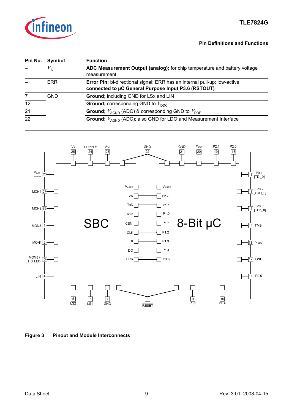

### **Pin Definitions and Functions**

| Pin No. | Symbol      | <b>Function</b>                                                                                                                   |  |  |
|---------|-------------|-----------------------------------------------------------------------------------------------------------------------------------|--|--|
|         | $V_{\rm A}$ | ADC Measurement Output (analog); for chip temperature and battery voltage<br>measurement                                          |  |  |
|         | <b>ERR</b>  | Error Pin; bi-directional signal; ERR has an internal pull-up; low-active;<br>connected to µC General Purpose Input P3.6 (RSTOUT) |  |  |
|         | <b>GND</b>  | Ground; including GND for LSx and LIN                                                                                             |  |  |
| 12      |             | <b>Ground;</b> corresponding GND to $V_{\text{DDC}}$                                                                              |  |  |
| 21      |             | <b>Ground;</b> $V_{\text{AGND}}$ (ADC) & corresponding GND to $V_{\text{DDP}}$                                                    |  |  |
| 22      |             | <b>Ground;</b> $V_{\text{AGND}}$ (ADC); also GND for LDO and Measurement Interface                                                |  |  |



**Figure 3 Pinout and Module Interconnects**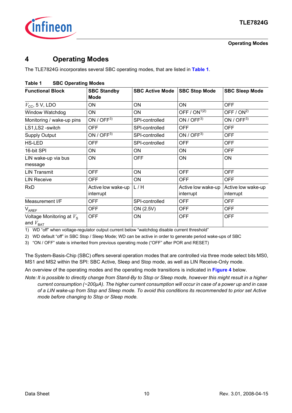

# <span id="page-9-4"></span><span id="page-9-0"></span>**4 Operating Modes**

The TLE7824G incorporates several SBC operating modes, that are listed in **[Table 1](#page-9-2)**.

| <b>Functional Block</b>                             | <b>SBC Standby</b><br><b>Mode</b> | <b>SBC Active Mode</b> | <b>SBC Stop Mode</b>            | <b>SBC Sleep Mode</b>           |
|-----------------------------------------------------|-----------------------------------|------------------------|---------------------------------|---------------------------------|
| $V_{\text{CC}}$ , 5 V, LDO                          | ON                                | ON                     | ON                              | <b>OFF</b>                      |
| <b>Window Watchdog</b>                              | ON                                | ON                     | OFF / $ON^{1/2}$                | OFF $/$ ON <sup>2)</sup>        |
| Monitoring / wake-up pins                           | ON / $OFF3$                       | SPI-controlled         | ON / $OFF3$                     | ON / $OFF3$                     |
| LS1, LS2 - switch                                   | <b>OFF</b>                        | SPI-controlled         | <b>OFF</b>                      | <b>OFF</b>                      |
| <b>Supply Output</b>                                | ON / $OFF3$                       | SPI-controlled         | ON / OFF3)                      | <b>OFF</b>                      |
| HS-LED                                              | <b>OFF</b>                        | SPI-controlled         | <b>OFF</b>                      | <b>OFF</b>                      |
| 16-bit SPI                                          | ON                                | ON                     | ON                              | <b>OFF</b>                      |
| LIN wake-up via bus<br>message                      | ON                                | <b>OFF</b>             | ON                              | ON                              |
| <b>LIN Transmit</b>                                 | <b>OFF</b>                        | ON                     | <b>OFF</b>                      | <b>OFF</b>                      |
| <b>LIN Receive</b>                                  | <b>OFF</b>                        | ON                     | <b>OFF</b>                      | <b>OFF</b>                      |
| <b>RxD</b>                                          | Active low wake-up<br>interrupt   | L/H                    | Active low wake-up<br>interrupt | Active low wake-up<br>interrupt |
| Measurement I/F                                     | OFF                               | SPI-controlled         | <b>OFF</b>                      | <b>OFF</b>                      |
| <b>VAREF</b>                                        | <b>OFF</b>                        | ON (2.5V)              | <b>OFF</b>                      | <b>OFF</b>                      |
| Voltage Monitoring at $V_s$<br>and $V_{\text{BAT}}$ | <b>OFF</b>                        | <b>ON</b>              | <b>OFF</b>                      | <b>OFF</b>                      |

### <span id="page-9-2"></span>**Table 1 SBC Operating Modes**

1) WD "off" when voltage-regulator output current below "watchdog disable current threshold"

<span id="page-9-1"></span>2) WD default "off" in SBC Stop / Sleep Mode; WD can be active in order to generate period wake-ups of SBC

<span id="page-9-3"></span>3) "ON / OFF" state is inherited from previous operating mode ("OFF" after POR and RESET)

The System-Basis-Chip (SBC) offers several operation modes that are controlled via three mode select bits MS0, MS1 and MS2 within the SPI: SBC Active, Sleep and Stop mode, as well as LIN Receive-Only mode.

An overview of the operating modes and the operating mode transitions is indicated in **[Figure 4](#page-10-2)** below.

*Note: It is possible to directly change from Stand-By to Stop or Sleep mode, however this might result in a higher current consumption (~200µA). The higher current consumption will occur in case of a power up and in case of a LIN wake-up from Stop and Sleep mode. To avoid this conditions its recommended to prior set Active mode before changing to Stop or Sleep mode.*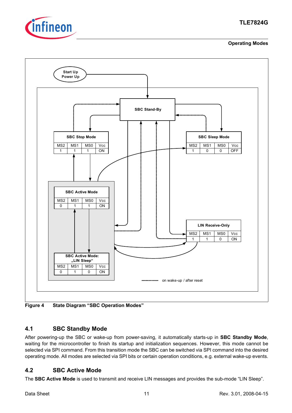

**Operating Modes**



<span id="page-10-2"></span>**Figure 4 State Diagram "SBC Operation Modes"**

# <span id="page-10-0"></span>**4.1 SBC Standby Mode**

After powering-up the SBC or wake-up from power-saving, it automatically starts-up in **SBC Standby Mode**, waiting for the microcontroller to finish its startup and initialization sequences. However, this mode cannot be selected via SPI command. From this transition mode the SBC can be switched via SPI command into the desired operating mode. All modes are selected via SPI bits or certain operation conditions, e.g. external wake-up events.

# <span id="page-10-1"></span>**4.2 SBC Active Mode**

The **SBC Active Mode** is used to transmit and receive LIN messages and provides the sub-mode "LIN Sleep".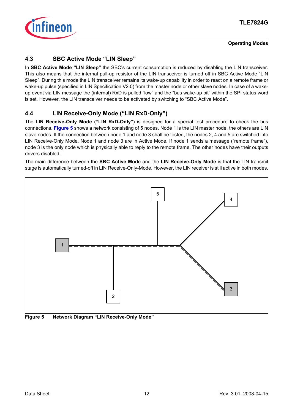

# <span id="page-11-0"></span>**4.3 SBC Active Mode "LIN Sleep"**

In **SBC Active Mode "LIN Sleep"** the SBC's current consumption is reduced by disabling the LIN transceiver. This also means that the internal pull-up resistor of the LIN transceiver is turned off in SBC Active Mode "LIN Sleep". During this mode the LIN transceiver remains its wake-up capability in order to react on a remote frame or wake-up pulse (specified in LIN Specification V2.0) from the master node or other slave nodes. In case of a wakeup event via LIN message the (internal) RxD is pulled "low" and the "bus wake-up bit" within the SPI status word is set. However, the LIN transceiver needs to be activated by switching to "SBC Active Mode".

# <span id="page-11-1"></span>**4.4 LIN Receive-Only Mode ("LIN RxD-Only")**

The **LIN Receive-Only Mode ("LIN RxD-Only")** is designed for a special test procedure to check the bus connections. **[Figure 5](#page-11-2)** shows a network consisting of 5 nodes. Node 1 is the LIN master node, the others are LIN slave nodes. If the connection between node 1 and node 3 shall be tested, the nodes 2, 4 and 5 are switched into LIN Receive-Only Mode. Node 1 and node 3 are in Active Mode. If node 1 sends a message ("remote frame"), node 3 is the only node which is physically able to reply to the remote frame. The other nodes have their outputs drivers disabled.

The main difference between the **SBC Active Mode** and the **LIN Receive-Only Mode** is that the LIN transmit stage is automatically turned-off in LIN Receive-Only-Mode. However, the LIN receiver is still active in both modes.



<span id="page-11-2"></span>**Figure 5 Network Diagram "LIN Receive-Only Mode"**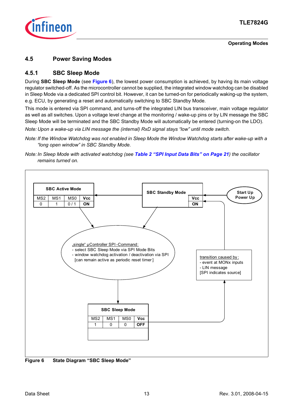

### <span id="page-12-0"></span>**4.5 Power Saving Modes**

### <span id="page-12-1"></span>**4.5.1 SBC Sleep Mode**

During **SBC Sleep Mode** (see **[Figure 6](#page-12-2)**), the lowest power consumption is achieved, by having its main voltage regulator switched-off. As the microcontroller cannot be supplied, the integrated window watchdog can be disabled in Sleep Mode via a dedicated SPI control bit. However, it can be turned-on for periodically waking-up the system, e.g. ECU, by generating a reset and automatically switching to SBC Standby Mode.

This mode is entered via SPI command, and turns-off the integrated LIN bus transceiver, main voltage regulator as well as all switches. Upon a voltage level change at the monitoring / wake-up pins or by LIN message the SBC Sleep Mode will be terminated and the SBC Standby Mode will automatically be entered (turning-on the LDO).

*Note: Upon a wake-up via LIN message the (internal) RxD signal stays "low" until mode switch.* 

- *Note: If the Window Watchdog was not enabled in Sleep Mode the Window Watchdog starts after wake-up with a "long open window" in SBC Standby Mode.*
- *Note: In Sleep Mode with activated watchdog (see [Table 2 "SPI Input Data Bits" on Page 21](#page-20-0)) the oscillator remains turned on.*



<span id="page-12-2"></span>**Figure 6 State Diagram "SBC Sleep Mode"**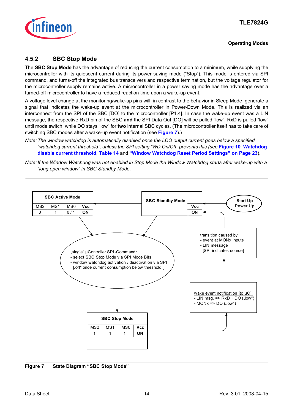

# <span id="page-13-0"></span>**4.5.2 SBC Stop Mode**

The **SBC Stop Mode** has the advantage of reducing the current consumption to a minimum, while supplying the microcontroller with its quiescent current during its power saving mode ("Stop"). This mode is entered via SPI command, and turns-off the integrated bus transceivers and respective termination, but the voltage regulator for the microcontroller supply remains active. A microcontroller in a power saving mode has the advantage over a turned-off microcontroller to have a reduced reaction time upon a wake-up event.

A voltage level change at the monitoring/wake-up pins will, in contrast to the behavior in Sleep Mode, generate a signal that indicates the wake-up event at the microcontroller in Power-Down Mode. This is realized via an interconnect from the SPI of the SBC [DO] to the microcontroller [P1.4]. In case the wake-up event was a LIN message, the respective RxD pin of the SBC **and** the SPI Data Out [DO] will be pulled "low". RxD is pulled "low" until mode switch, while DO stays "low" for **two** internal SBC cycles. (The microcontroller itself has to take care of switching SBC modes after a wake-up event notification (see **[Figure 7](#page-13-1)**).)

*Note: The window watchdog is automatically disabled once the LDO output current goes below a specified "watchdog current threshold", unless the SPI setting "WD On/Off" prevents this (see* **[Figure 10](#page-19-1)***,* **[Watchdog](#page-37-0)  [disable current threshold](#page-37-0)**, **[Table 14](#page-35-1)** and **["Window Watchdog Reset Period Settings" on Page 23](#page-22-0)**).





<span id="page-13-1"></span>**Figure 7 State Diagram "SBC Stop Mode"**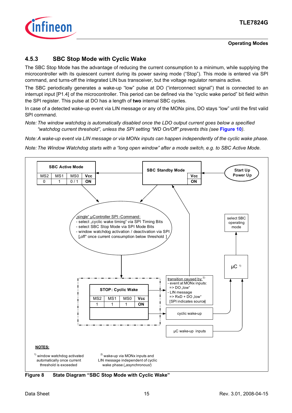

# <span id="page-14-0"></span>**4.5.3 SBC Stop Mode with Cyclic Wake**

The SBC Stop Mode has the advantage of reducing the current consumption to a minimum, while supplying the microcontroller with its quiescent current during its power saving mode ("Stop"). This mode is entered via SPI command, and turns-off the integrated LIN bus transceiver, but the voltage regulator remains active.

The SBC periodically generates a wake-up "low" pulse at DO ("interconnect signal") that is connected to an interrupt input [P1.4] of the microcontroller. This period can be defined via the "cyclic wake period" bit field within the SPI register. This pulse at DO has a length of **two** internal SBC cycles.

In case of a detected wake-up event via LIN message or any of the MONx pins, DO stays "low" until the first valid SPI command.

*Note: The window watchdog is automatically disabled once the LDO output current goes below a specified "watchdog current threshold", unless the SPI setting "WD On/Off" prevents this (see* **[Figure 10](#page-19-1)***).*

*Note: A wake-up event via LIN message or via MONx inputs can happen independently of the cyclic wake phase.*

*Note: The Window Watchdog starts with a "long open window" after a mode switch, e.g. to SBC Active Mode.*



**Figure 8 State Diagram "SBC Stop Mode with Cyclic Wake"**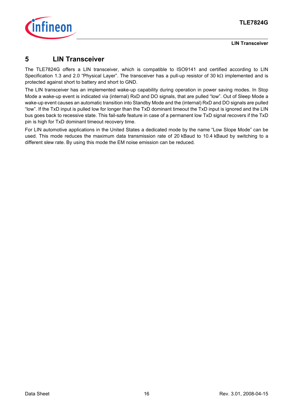

**LIN Transceiver**

# <span id="page-15-0"></span>**5 LIN Transceiver**

The TLE7824G offers a LIN transceiver, which is compatible to ISO9141 and certified according to LIN Specification 1.3 and 2.0 "Physical Layer". The transceiver has a pull-up resistor of 30 kΩ implemented and is protected against short to battery and short to GND.

The LIN transceiver has an implemented wake-up capability during operation in power saving modes. In Stop Mode a wake-up event is indicated via (internal) RxD and DO signals, that are pulled "low". Out of Sleep Mode a wake-up event causes an automatic transition into Standby Mode and the (internal) RxD and DO signals are pulled "low". If the TxD input is pulled low for longer than the TxD dominant timeout the TxD input is ignored and the LIN bus goes back to recessive state. This fail-safe feature in case of a permanent low TxD signal recovers if the TxD pin is high for TxD dominant timeout recovery time.

For LIN automotive applications in the United States a dedicated mode by the name "Low Slope Mode" can be used. This mode reduces the maximum data transmission rate of 20 kBaud to 10.4 kBaud by switching to a different slew rate. By using this mode the EM noise emission can be reduced.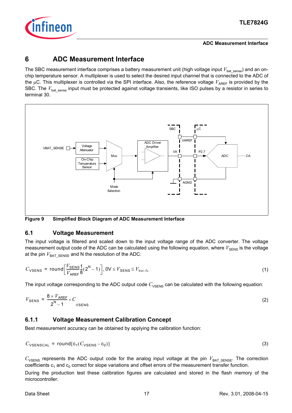

#### **ADC Measurement Interface**

# <span id="page-16-0"></span>**6 ADC Measurement Interface**

The SBC measurement interface comprises a battery measurement unit (high voltage input  $V_{\text{bat-sense}}$ ) and an onchip temperature sensor. A multiplexer is used to select the desired input channel that is connected to the ADC of the  $\mu$ C. This multiplexer is controlled via the SPI interface. Also, the reference voltage  $V_{ARFF}$  is provided by the SBC. The  $V_{\text{bat sense}}$  input must be protected against voltage transients, like ISO pulses by a resistor in series to terminal 30.



**Figure 9 Simplified Block Diagram of ADC Measurement Interface**

### <span id="page-16-1"></span>**6.1 Voltage Measurement**

The input voltage is filtered and scaled down to the input voltage range of the ADC converter. The voltage measurement output code of the ADC can be calculated using the following equation, where  $V_{\text{SENS}}$  is the voltage at the pin  $V_{\text{BAT} \text{ SENSE}}$  and N the resolution of the ADC:

$$
C_{\text{VSENS}} = \text{round}\left[\frac{V_{\text{SENS}}}{V_{\text{AREF}}}\frac{1}{8}(2^N - 1)\right], \quad 0 \le V_{\text{SENS}} \le V_{\text{bat-fs}} \tag{1}
$$

The input voltage corresponding to the ADC output code C<sub>VSENS</sub> can be calculated with the following equation:

$$
V_{\text{SENS}} = \frac{8 \times V_{\text{AREF}}}{2^{N} - 1} \times C
$$
 (2)

### <span id="page-16-2"></span>**6.1.1 Voltage Measurement Calibration Concept**

Best measurement accuracy can be obtained by applying the calibration function:

$$
C_{\text{VSENSCAL}} = \text{round}[c_1(C_{\text{VSENS}} - c_0)] \tag{3}
$$

 $C_{\text{VSENS}}$  represents the ADC output code for the analog input voltage at the pin  $V_{\text{BAT} SENSE}$ . The correction coefficients  $c_1$  and  $c_0$  correct for slope variations and offset errors of the measurement transfer function.

During the production test these calibration figures are calculated and stored in the flash memory of the microcontroller.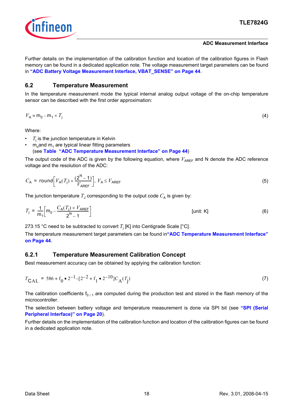

#### **ADC Measurement Interface**

Further details on the implementation of the calibration function and location of the calibration figures in Flash memory can be found in a dedicated application note. The voltage measurement target parameters can be found in **["ADC Battery Voltage Measurement Interface, VBAT\\_SENSE" on Page 44](#page-43-0)**.

### <span id="page-17-0"></span>**6.2 Temperature Measurement**

In the temperature measurement mode the typical internal analog output voltage of the on-chip temperature sensor can be described with the first order approximation:

$$
V_A \approx m_0 - m_1 \times T_j \tag{4}
$$

Where:

- $\bullet$   $T_{\rm j}$  is the junction temperature in Kelvin
- $m_0$ and  $m_1$  are typical linear fitting parameters (see **[Table "ADC Temperature Measurement Interface" on Page 44](#page-43-1)**)

The output code of the ADC is given by the following equation, where  $V_{\text{AREF}}$  and N denote the ADC reference voltage and the resolution of the ADC:

$$
C_{\mathsf{A}} = \text{round}\bigg[V_{\mathsf{A}}(T_{\mathsf{j}}) \times \frac{(2^{\mathsf{N}} - 1)}{V_{\mathsf{AREF}}}\bigg], \ V_{\mathsf{A}} \le V_{\mathsf{AREF}} \tag{5}
$$

The junction temperature  $T_A$  corresponding to the output code  $C_A$  is given by:

$$
T_{\rm j} = \frac{1}{m_1} \left[ m_0 - \frac{C_{\rm A}(T_{\rm j}) \times V_{\rm AREF}}{2^{\rm N} - 1} \right] \tag{6}
$$

273.15 °C need to be subtracted to convert  $T_{\rm j}$  [K] into Centigrade Scale [°C].

The temperature measurement target parameters can be found in**["ADC Temperature Measurement Interface"](#page-43-1) [on Page 44](#page-43-1)**.

### <span id="page-17-1"></span>**6.2.1 Temperature Measurement Calibration Concept**

Best measurement accuracy can be obtained by applying the calibration function:

$$
T_{\text{CAL}} = 586 + f_0 \cdot 2^{-1} - [2^{-2} + f_1 \cdot 2^{-10}] C_A(T_j)
$$
\n(7)

The calibration coefficients  $f_{0/1}$  are computed during the production test and stored in the flash memory of the microcontroller.

The selection between battery voltage and temperature measurement is done via SPI bit (see **["SPI \(Serial](#page-19-0) [Peripheral Interface\)" on Page 20](#page-19-0)**).

Further details on the implementation of the calibration function and location of the calibration figures can be found in a dedicated application note.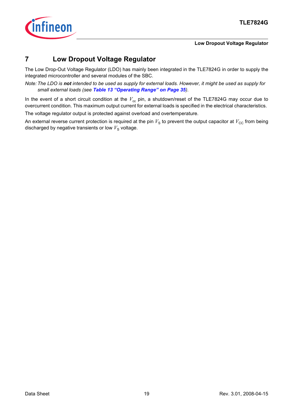

### **Low Dropout Voltage Regulator**

# <span id="page-18-0"></span>**7 Low Dropout Voltage Regulator**

The Low Drop-Out Voltage Regulator (LDO) has mainly been integrated in the TLE7824G in order to supply the integrated microcontroller and several modules of the SBC.

*Note: The LDO is not intended to be used as supply for external loads. However, it might be used as supply for small external loads (see [Table 13 "Operating Range" on Page 35](#page-34-3)).*

In the event of a short circuit condition at the  $V_{cc}$  pin, a shutdown/reset of the TLE7824G may occur due to overcurrent condition. This maximum output current for external loads is specified in the electrical characteristics. The voltage regulator output is protected against overload and overtemperature.

An external reverse current protection is required at the pin  $V_S$  to prevent the output capacitor at  $V_{CC}$  from being discharged by negative transients or low  $V<sub>S</sub>$  voltage.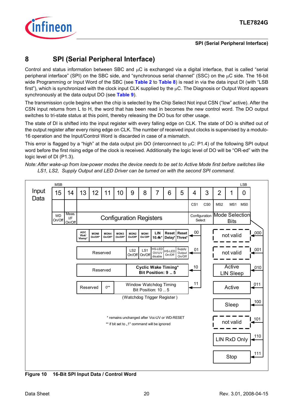

# <span id="page-19-0"></span>**8 SPI (Serial Peripheral Interface)**

Control and status information between SBC and μC is exchanged via a digital interface, that is called "serial peripheral interface" (SPI) on the SBC side, and "synchronous serial channel" (SSC) on the μC side. The 16-bit wide Programming or Input Word of the SBC (see **[Table 2](#page-20-0)** to **[Table 8](#page-22-0)**) is read in via the data input DI (with "LSB first"), which is synchronized with the clock input CLK supplied by the  $\mu$ C. The Diagnosis or Output Word appears synchronously at the data output DO (see **[Table 9](#page-22-1)**).

The transmission cycle begins when the chip is selected by the Chip Select Not input CSN ("low" active). After the CSN input returns from L to H, the word that has been read in becomes the new control word. The DO output switches to tri-state status at this point, thereby releasing the DO bus for other usage.

The state of DI is shifted into the input register with every falling edge on CLK. The state of DO is shifted out of the output register after every rising edge on CLK. The number of received input clocks is supervised by a modulo-16 operation and the Input/Control Word is discarded in case of a mismatch.

This error is flagged by a "high" at the data output pin DO (interconnect to μC: P1.4) of the following SPI output word before the first rising edge of the clock is received. Additionally the logic level of DO will be "OR-ed" with the logic level of DI (P1.3).

*Note: After wake-up from low-power modes the device needs to be set to Active Mode first before switches like LS1, LS2, Supply Output and LED Driver can be turned on with the second SPI command.*



<span id="page-19-1"></span>**Figure 10 16-Bit SPI Input Data / Control Word**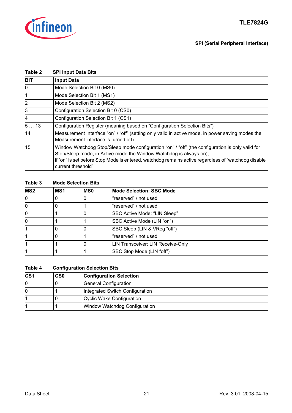<span id="page-20-0"></span>

| Table 2        | <b>SPI Input Data Bits</b>                                                                                                                                                                                                                                                                          |
|----------------|-----------------------------------------------------------------------------------------------------------------------------------------------------------------------------------------------------------------------------------------------------------------------------------------------------|
| <b>BIT</b>     | <b>Input Data</b>                                                                                                                                                                                                                                                                                   |
| $\mathbf{0}$   | Mode Selection Bit 0 (MS0)                                                                                                                                                                                                                                                                          |
| 1              | Mode Selection Bit 1 (MS1)                                                                                                                                                                                                                                                                          |
| $\overline{2}$ | Mode Selection Bit 2 (MS2)                                                                                                                                                                                                                                                                          |
| 3              | Configuration Selection Bit 0 (CS0)                                                                                                                                                                                                                                                                 |
| 4              | Configuration Selection Bit 1 (CS1)                                                                                                                                                                                                                                                                 |
| 513            | Configuration Register (meaning based on "Configuration Selection Bits")                                                                                                                                                                                                                            |
| 14             | Measurement Interface "on" / "off" (setting only valid in active mode, in power saving modes the<br>Measurement interface is turned off)                                                                                                                                                            |
| 15             | Window Watchdog Stop/Sleep mode configuration "on" / "off" (the configuration is only valid for<br>Stop/Sleep mode, in Active mode the Window Watchdog is always on);<br>if "on" is set before Stop Mode is entered, watchdog remains active regardless of "watchdog disable"<br>current threshold" |

### **Table 3 Mode Selection Bits**

| MS <sub>2</sub> | MS <sub>1</sub> | <b>MSO</b> | <b>Mode Selection: SBC Mode</b>   |
|-----------------|-----------------|------------|-----------------------------------|
| 0               |                 | 0          | "reserved" / not used             |
| 0               |                 |            | "reserved" / not used             |
| 0               |                 | 0          | SBC Active Mode: "LIN Sleep"      |
| $\mathbf{0}$    |                 |            | SBC Active Mode (LIN "on")        |
|                 |                 | 0          | SBC Sleep (LIN & VReg "off")      |
|                 |                 |            | "reserved" / not used             |
|                 |                 | 0          | LIN Transceiver: LIN Receive-Only |
|                 |                 |            | SBC Stop Mode (LIN "off")         |

### **Table 4 Configuration Selection Bits**

| CS <sub>1</sub> | C <sub>S0</sub> | <b>Configuration Selection</b>   |
|-----------------|-----------------|----------------------------------|
| 0               |                 | <b>General Configuration</b>     |
| 0               |                 | Integrated Switch Configuration  |
|                 |                 | <b>Cyclic Wake Configuration</b> |
|                 |                 | Window Watchdog Configuration    |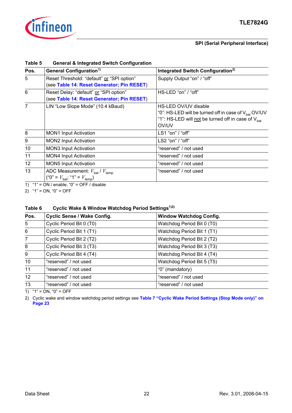

| ט טושו          | <u>UCHUNGI WANGGI GIGA UWILCH UCHINGHALIONI</u>                                                          |                                                                                                                                                                     |
|-----------------|----------------------------------------------------------------------------------------------------------|---------------------------------------------------------------------------------------------------------------------------------------------------------------------|
| Pos.            | General Configuration <sup>1)</sup>                                                                      | Integrated Switch Configuration <sup>2)</sup>                                                                                                                       |
| $5^{\circ}$     | Reset Threshold: "default" or "SPI option"<br>(see Table 14: Reset Generator; Pin RESET)                 | Supply Output "on" / "off"                                                                                                                                          |
| 6               | Reset Delay: "default" or "SPI option"<br>(see Table 14: Reset Generator; Pin RESET)                     | HS-LED "on" / "off"                                                                                                                                                 |
| $\overline{7}$  | LIN "Low Slope Mode" (10.4 kBaud)                                                                        | HS-LED OV/UV disable<br>"0": HS-LED will be turned off in case of V <sub>hat</sub> OV/UV<br>"1": HS-LED will not be turned off in case of V <sub>hat</sub><br>OV/UV |
| 8               | <b>MON1 Input Activation</b>                                                                             | LS1 "on" / "off"                                                                                                                                                    |
| 9               | <b>MON2 Input Activation</b>                                                                             | LS2 "on" / "off"                                                                                                                                                    |
| 10              | <b>MON3 Input Activation</b>                                                                             | "reserved" / not used                                                                                                                                               |
| 11              | <b>MON4 Input Activation</b>                                                                             | "reserved" / not used                                                                                                                                               |
| 12 <sup>°</sup> | <b>MON5 Input Activation</b>                                                                             | "reserved" / not used                                                                                                                                               |
| 13              | ADC Measurement: $V_{\text{bat}}/V_{\text{temp}}$<br>("0" = $V_{\text{bat}}$ ; "1" = $V_{\text{temp}}$ ) | "reserved" / not used                                                                                                                                               |

### <span id="page-21-0"></span>**Table 5 General & Integrated Switch Configuration**

1)  $47 = ON / enable$ ,  $40 = OFF / disable$ 

2)  $"1" = ON, "0" = OFF$ 

### **Table 6 Cyclic Wake & Window Watchdog Period Settings1)2)**

| Pos.           | <b>Cyclic Sense / Wake Config.</b> | <b>Window Watchdog Config.</b> |  |
|----------------|------------------------------------|--------------------------------|--|
| 5              | Cyclic Period Bit 0 (T0)           | Watchdog Period Bit 0 (T0)     |  |
| $\,6\,$        | Cyclic Period Bit 1 (T1)           | Watchdog Period Bit 1 (T1)     |  |
| $\overline{7}$ | Cyclic Period Bit 2 (T2)           | Watchdog Period Bit 2 (T2)     |  |
| 8              | Cyclic Period Bit 3 (T3)           | Watchdog Period Bit 3 (T3)     |  |
| 9              | Cyclic Period Bit 4 (T4)           | Watchdog Period Bit 4 (T4)     |  |
| 10             | "reserved" / not used              | Watchdog Period Bit 5 (T5)     |  |
| 11             | "reserved" / not used              | "0" (mandatory)                |  |
| 12             | "reserved" / not used              | "reserved" / not used          |  |
| 13             | "reserved" / not used              | "reserved" / not used          |  |
|                |                                    |                                |  |

1)  $"1" = ON$ ,  $"0" = OFF$ 

2) Cyclic wake and window watchdog period settings see **[Table 7 "Cyclic Wake Period Settings \(Stop Mode only\)" on](#page-22-2)  [Page 23](#page-22-2)**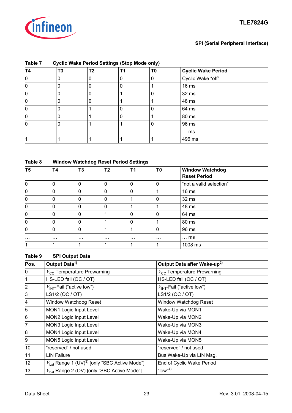

### **SPI (Serial Peripheral Interface)**

<span id="page-22-2"></span>

| Table 7  |                | <b>Cyclic Wake Period Settings (Stop Mode only)</b> |          |          |                           |  |  |  |  |  |
|----------|----------------|-----------------------------------------------------|----------|----------|---------------------------|--|--|--|--|--|
| T4       | T <sub>3</sub> | T <sub>2</sub>                                      |          | T0       | <b>Cyclic Wake Period</b> |  |  |  |  |  |
| 0        | 0              | 0                                                   | 0        | 0        | Cyclic Wake "off"         |  |  |  |  |  |
| 0        | 0              | 0                                                   | 0        |          | 16 <sub>ms</sub>          |  |  |  |  |  |
| 0        | 0              | 0                                                   |          | 0        | 32 ms                     |  |  |  |  |  |
| 0        | 0              | 0                                                   |          |          | 48 ms                     |  |  |  |  |  |
| 0        | 0              |                                                     | 0        | 0        | 64 ms                     |  |  |  |  |  |
| 0        | 0              |                                                     | 0        |          | 80 ms                     |  |  |  |  |  |
| 0        | 0              |                                                     |          | 0        | 96 ms                     |  |  |  |  |  |
| $\cdots$ | $\cdots$       | $\cdots$                                            | $\cdots$ | $\cdots$ | $\ldots$ ms               |  |  |  |  |  |
|          |                |                                                     |          |          | 496 ms                    |  |  |  |  |  |

### <span id="page-22-0"></span>**Table 8 Window Watchdog Reset Period Settings**

| T5       | <b>T4</b>   | T <sub>3</sub> | T <sub>2</sub> | T <sub>1</sub> | T <sub>0</sub> | <b>Window Watchdog</b><br><b>Reset Period</b> |
|----------|-------------|----------------|----------------|----------------|----------------|-----------------------------------------------|
| 0        | 0           | 0              | 0              | 0              | $\mathbf 0$    | "not a valid selection"                       |
| 0        |             | 0              | 0              | 0              |                | 16 <sub>ms</sub>                              |
| 0        | 0           | 0              | 0              |                | 0              | 32 ms                                         |
| 0        | 0           | 0              | $\Omega$       | и              |                | 48 ms                                         |
| 0        | $\mathbf 0$ | $\Omega$       |                | $\Omega$       | 0              | 64 ms                                         |
| 0        | 0           | 0              |                | 0              |                | 80 ms                                         |
| 0        | 0           | 0              |                |                | $\mathbf 0$    | 96 ms                                         |
| $\cdots$ | $\cdots$    | $\cdots$       | $\cdots$       | $\cdots$       | $\cdots$       | $\ldots$ ms                                   |
|          |             |                |                |                |                | 1008 ms                                       |

### <span id="page-22-1"></span>**Table 9 SPI Output Data**

| Pos.           | Output Data <sup>1)</sup>                                            | Output Data after Wake-up <sup>2)</sup> |
|----------------|----------------------------------------------------------------------|-----------------------------------------|
| 0              | $V_{\rm CC}$ Temperature Prewarning                                  | $V_{\text{cc}}$ Temperature Prewarning  |
| $\mathbf{1}$   | HS-LED fail (OC / OT)                                                | HS-LED fail (OC / OT)                   |
| $\overline{2}$ | $V_{INT}$ -Fail ("active low")                                       | $V_{INT}$ -Fail ("active low")          |
| 3              | LS1/2 (OC / OT)                                                      | LS1/2 (OC / OT)                         |
| 4              | <b>Window Watchdog Reset</b>                                         | <b>Window Watchdog Reset</b>            |
| 5              | MON1 Logic Input Level                                               | Wake-Up via MON1                        |
| 6              | MON2 Logic Input Level                                               | Wake-Up via MON2                        |
| $\overline{7}$ | MON3 Logic Input Level                                               | Wake-Up via MON3                        |
| 8              | MON4 Logic Input Level                                               | Wake-Up via MON4                        |
| 9              | MON5 Logic Input Level                                               | Wake-Up via MON5                        |
| 10             | "reserved" / not used                                                | "reserved" / not used                   |
| 11             | <b>LIN Failure</b>                                                   | Bus Wake-Up via LIN Msg.                |
| 12             | $V_{\text{bat}}$ Range 1 (UV) <sup>3)</sup> [only "SBC Active Mode"] | End of Cyclic Wake Period               |
| 13             | $V_{\text{bat}}$ Range 2 (OV) [only "SBC Active Mode"]               | " $low$ "4)                             |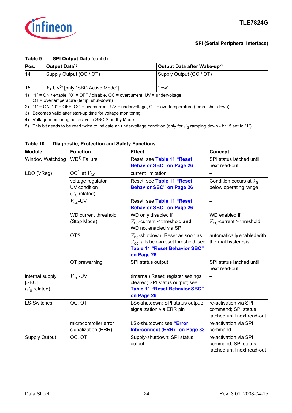

### **Table 9 SPI Output Data** (cont'd)

| Pos. | Output Data <sup>1)</sup>                                        | Output Data after Wake-up <sup>2)</sup> |  |
|------|------------------------------------------------------------------|-----------------------------------------|--|
| 14   | Supply Output (OC / OT)                                          | Supply Output (OC / OT)                 |  |
| 15   | $\frac{1}{2}V_{\rm S}$ UV <sup>5)</sup> [only "SBC Active Mode"] | "low"                                   |  |

1)  $41$  = ON / enable,  $0$  = OFF / disable, OC = overcurrent, UV = undervoltage,

OT = overtemperature (temp. shut-down)

2) "1" = ON, "0" = OFF, OC = overcurrent, UV = undervoltage, OT = overtemperature (temp. shut-down)

3) Becomes valid after start-up time for voltage monitoring

4) Voltage monitoring not active in SBC Standby Mode

5) This bit needs to be read twice to indicate an undervoltage condition (only for  $V_S$  ramping down - bit15 set to "1")

| <b>Module</b>                              | <b>Function</b>                              | <b>Effect</b>                                                                                                                                         | <b>Concept</b>                                                              |
|--------------------------------------------|----------------------------------------------|-------------------------------------------------------------------------------------------------------------------------------------------------------|-----------------------------------------------------------------------------|
| Window Watchdog                            | WD <sup>1)</sup> Failure                     | Reset; see Table 11 "Reset                                                                                                                            | SPI status latched until                                                    |
|                                            |                                              | <b>Behavior SBC" on Page 26</b>                                                                                                                       | next read-out                                                               |
| LDO (VReg)                                 | OC <sup>2)</sup> at $V_{\text{CC}}$          | current limitation                                                                                                                                    |                                                                             |
|                                            | voltage regulator<br>UV condition            | Reset, see Table 11 "Reset<br><b>Behavior SBC" on Page 26</b>                                                                                         | Condition occurs at $V_s$<br>below operating range                          |
|                                            | $(Vs$ related)                               |                                                                                                                                                       |                                                                             |
|                                            | $V_{\rm CC}$ -UV                             | Reset, see Table 11 "Reset<br><b>Behavior SBC" on Page 26</b>                                                                                         | —                                                                           |
|                                            | <b>WD current threshold</b><br>(Stop Mode)   | WD only disabled if<br>$V_{\text{cc}}$ -current < threshold and<br>WD not enabled via SPI                                                             | WD enabled if<br>$V_{\rm CC}$ -current > threshold                          |
|                                            | OT <sup>3</sup>                              | $V_{\text{CC}}$ -shutdown, Reset as soon as<br>$V_{\text{CC}}$ falls below reset threshold, see<br><b>Table 11 "Reset Behavior SBC"</b><br>on Page 26 | automatically enabled with<br>thermal hysteresis                            |
|                                            | OT prewarning                                | SPI status output                                                                                                                                     | SPI status latched until<br>next read-out                                   |
| internal supply<br>[SBC]<br>$(Vs$ related) | $V_{\text{INT}}$ -UV                         | (internal) Reset; register settings<br>cleared; SPI status output; see<br><b>Table 11 "Reset Behavior SBC"</b><br>on Page 26                          |                                                                             |
| <b>LS-Switches</b>                         | OC, OT                                       | LSx-shutdown; SPI status output;<br>signalization via ERR pin                                                                                         | re-activation via SPI<br>command; SPI status<br>latched until next read-out |
|                                            | microcontroller error<br>signalization (ERR) | LSx-shutdown; see "Error<br><b>Interconnect (ERR)" on Page 33</b>                                                                                     | re-activation via SPI<br>command                                            |
| <b>Supply Output</b>                       | OC, OT                                       | Supply-shutdown; SPI status<br>output                                                                                                                 | re-activation via SPI<br>command; SPI status<br>latched until next read-out |

### <span id="page-23-0"></span>**Table 10 Diagnostic, Protection and Safety Functions**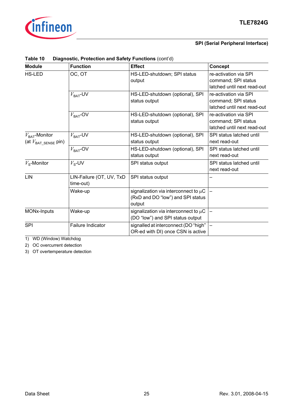

### **SPI (Serial Peripheral Interface)**

| <b>Module</b>                                                   | <b>Function</b>                       | <b>Effect</b>                                                                            | <b>Concept</b>                                                              |
|-----------------------------------------------------------------|---------------------------------------|------------------------------------------------------------------------------------------|-----------------------------------------------------------------------------|
| <b>HS-LED</b>                                                   | OC, OT                                | HS-LED-shutdown; SPI status<br>output                                                    | re-activation via SPI<br>command; SPI status<br>latched until next read-out |
|                                                                 | $V_{\text{BAT}}$ -UV                  | HS-LED-shutdown (optional), SPI<br>status output                                         | re-activation via SPI<br>command; SPI status<br>latched until next read-out |
|                                                                 | $V_{\text{BAT}}$ -OV                  | HS-LED-shutdown (optional), SPI<br>status output                                         | re-activation via SPI<br>command; SPI status<br>latched until next read-out |
| $V_{\text{BAT}}$ -Monitor<br>(at $V_{\mathsf{BAT\_SENSE}}$ pin) | $V_{\text{BAT}}$ -UV                  | HS-LED-shutdown (optional), SPI<br>status output                                         | SPI status latched until<br>next read-out                                   |
|                                                                 | $V_{\text{BAT}}$ -OV                  | HS-LED-shutdown (optional), SPI<br>status output                                         | SPI status latched until<br>next read-out                                   |
| $V_{\rm s}$ -Monitor                                            | $V_{\rm s}$ -UV                       | SPI status output                                                                        | SPI status latched until<br>next read-out                                   |
| LIN                                                             | LIN-Failure (OT, UV, TxD<br>time-out) | SPI status output                                                                        |                                                                             |
|                                                                 | Wake-up                               | signalization via interconnect to $\mu$ C<br>(RxD and DO "low") and SPI status<br>output |                                                                             |
| MONx-Inputs                                                     | Wake-up                               | signalization via interconnect to $\mu$ C<br>(DO "low") and SPI status output            |                                                                             |
| SPI                                                             | <b>Failure Indicator</b>              | signalled at interconnect (DO "high"<br>OR-ed with DI) once CSN is active                |                                                                             |

### **Table 10 Diagnostic, Protection and Safety Functions** (cont'd)

1) WD (Window) Watchdog

2) OC overcurrent detection

3) OT overtemperature detection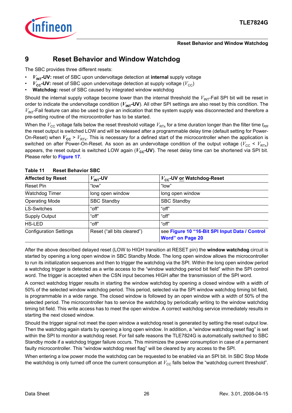

### **Reset Behavior and Window Watchdog**

# <span id="page-25-0"></span>**9 Reset Behavior and Window Watchdog**

The SBC provides three different resets:

- $V_{\text{INT}}$ -UV: reset of SBC upon undervoltage detection at *internal* supply voltage
- $V_{cc}$ -UV: reset of SBC upon undervoltage detection at supply voltage  $(V_{cc})$
- **Watchdog:** reset of SBC caused by integrated window watchdog

Should the internal supply voltage become lower than the internal threshold the  $V_{\text{INT}}$ -Fail SPI bit will be reset in order to indicate the undervoltage condition  $(V_{\text{INT}}-UV)$ . All other SPI settings are also reset by this condition. The  $V_{\text{INT}}$ -Fail feature can also be used to give an indication that the system supply was disconnected and therefore a pre-setting routine of the microcontroller has to be started.

When the  $V_{\rm CC}$  voltage falls below the reset threshold voltage  $V_{\rm RTX}$  for a time duration longer than the filter time  $t_{RR}$ the reset output is switched LOW and will be released after a programmable delay time (default setting for Power-On-Reset) when  $V_{cc}$  >  $V_{RTx}$ . This is necessary for a defined start of the microcontroller when the application is switched on after Power-On-Reset. As soon as an undervoltage condition of the output voltage ( $V_{\text{CC}}$  <  $V_{\text{RTx}}$ ) appears, the reset output is switched LOW again ( $V_{cc}$ -UV). The reset delay time can be shortened via SPI bit. Please refer to **[Figure 17](#page-46-0)**.

| <b>Affected by Reset</b>      | $V_{INT}$ -UV              | $V_{\text{cc}}$ -UV or Watchdog-Reset                                     |
|-------------------------------|----------------------------|---------------------------------------------------------------------------|
| Reset Pin                     | "low"                      | "low"                                                                     |
| <b>Watchdog Timer</b>         | long open window           | long open window                                                          |
| <b>Operating Mode</b>         | <b>SBC Standby</b>         | <b>SBC Standby</b>                                                        |
| <b>LS-Switches</b>            | "off"                      | "off"                                                                     |
| <b>Supply Output</b>          | "off"                      | "off"                                                                     |
| <b>HS-LED</b>                 | "off"                      | "off"                                                                     |
| <b>Configuration Settings</b> | Reset ("all bits cleared") | see Figure 10 "16-Bit SPI Input Data / Control<br><b>Word" on Page 20</b> |

### <span id="page-25-1"></span>**Table 11 Reset Behavior SBC**

After the above described delayed reset (LOW to HIGH transition at RESET pin) the **window watchdog** circuit is started by opening a long open window in SBC Standby Mode. The long open window allows the microcontroller to run its initialization sequences and then to trigger the watchdog via the SPI. Within the long open window period a watchdog trigger is detected as a write access to the "window watchdog period bit field" within the SPI control word. The trigger is accepted when the CSN input becomes HIGH after the transmission of the SPI word.

A correct watchdog trigger results in starting the window watchdog by opening a closed window with a width of 50% of the selected window watchdog period. This period, selected via the SPI window watchdog timing bit field, is programmable in a wide range. The closed window is followed by an open window with a width of 50% of the selected period. The microcontroller has to service the watchdog by periodically writing to the window watchdog timing bit field. This write access has to meet the open window. A correct watchdog service immediately results in starting the next closed window.

Should the trigger signal not meet the open window a watchdog reset is generated by setting the reset output low. Then the watchdog again starts by opening a long open window. In addition, a "window watchdog reset flag" is set within the SPI to monitor a watchdog reset. For fail safe reasons the TLE7824G is automatically switched to SBC Standby mode if a watchdog trigger failure occurs. This minimizes the power consumption in case of a permanent faulty microcontroller. This "window watchdog reset flag" will be cleared by any access to the SPI.

When entering a low power mode the watchdog can be requested to be enabled via an SPI bit. In SBC Stop Mode the watchdog is only turned off once the current consumption at  $V_{\text{CC}}$  falls below the "watchdog current threshold".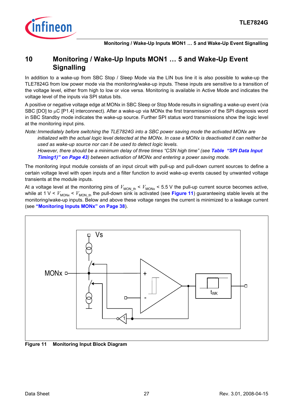

# <span id="page-26-0"></span>**10 Monitoring / Wake-Up Inputs MON1 … 5 and Wake-Up Event Signalling**

In addition to a wake-up from SBC Stop / Sleep Mode via the LIN bus line it is also possible to wake-up the TLE7824G from low power mode via the monitoring/wake-up inputs. These inputs are sensitive to a transition of the voltage level, either from high to low or vice versa. Monitoring is available in Active Mode and indicates the voltage level of the inputs via SPI status bits.

A positive or negative voltage edge at MONx in SBC Sleep or Stop Mode results in signalling a wake-up event (via SBC [DO] to μC [P1.4] interconnect). After a wake-up via MONx the first transmission of the SPI diagnosis word in SBC Standby mode indicates the wake-up source. Further SPI status word transmissions show the logic level at the monitoring input pins.

*Note: Immediately before switching the TLE7824G into a SBC power saving mode the activated MONx are initialized with the actual logic level detected at the MONx. In case a MONx is deactivated it can neither be used as wake-up source nor can it be used to detect logic levels.*

*However, there should be a minimum delay of three times "CSN high time" (see [Table "SPI Data Input](#page-42-0)  [Timing1\)" on Page 43](#page-42-0)) between activation of MONx and entering a power saving mode.*

The monitoring input module consists of an input circuit with pull-up and pull-down current sources to define a certain voltage level with open inputs and a filter function to avoid wake-up events caused by unwanted voltage transients at the module inputs.

At a voltage level at the monitoring pins of  $V_{MON\_th}$  <  $V_{MONx}$  < 5.5 V the pull-up current source becomes active, while at 1 V <  $V_{MONx}$  <  $V_{MON<sub>th</sub>}$  the pull-down sink is activated (see **[Figure 11](#page-26-1)**) guaranteeing stable levels at the monitoring/wake-up inputs. Below and above these voltage ranges the current is minimized to a leakage current (see **["Monitoring Inputs MONx" on Page 38](#page-37-2)**).



<span id="page-26-1"></span>**Figure 11 Monitoring Input Block Diagram**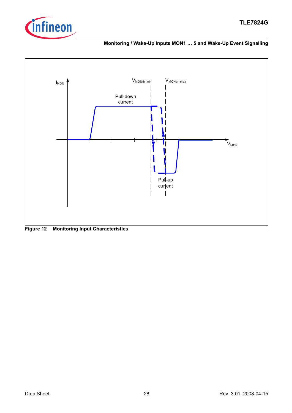





**Figure 12 Monitoring Input Characteristics**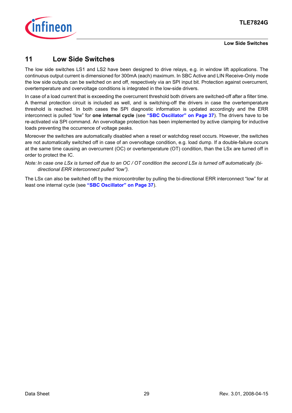

**Low Side Switches**

# <span id="page-28-0"></span>**11 Low Side Switches**

The low side switches LS1 and LS2 have been designed to drive relays, e.g. in window lift applications. The continuous output current is dimensioned for 300mA (each) maximum. In SBC Active and LIN Receive-Only mode the low side outputs can be switched on and off, respectively via an SPI input bit. Protection against overcurrent, overtemperature and overvoltage conditions is integrated in the low-side drivers.

In case of a load current that is exceeding the overcurrent threshold both drivers are switched-off after a filter time. A thermal protection circuit is included as well, and is switching-off the drivers in case the overtemperature threshold is reached. In both cases the SPI diagnostic information is updated accordingly and the ERR interconnect is pulled "low" for **one internal cycle** (see **["SBC Oscillator" on Page 37](#page-36-0)**). The drivers have to be re-activated via SPI command. An overvoltage protection has been implemented by active clamping for inductive loads preventing the occurrence of voltage peaks.

Moreover the switches are automatically disabled when a reset or watchdog reset occurs. However, the switches are not automatically switched off in case of an overvoltage condition, e.g. load dump. If a double-failure occurs at the same time causing an overcurrent (OC) or overtemperature (OT) condition, than the LSx are turned off in order to protect the IC.

*Note: In case one LSx is turned off due to an OC / OT condition the second LSx is turned off automatically (bidirectional ERR interconnect pulled "low").*

The LSx can also be switched off by the microcontroller by pulling the bi-directional ERR interconnect "low" for at least one internal cycle (see **["SBC Oscillator" on Page 37](#page-36-0)**).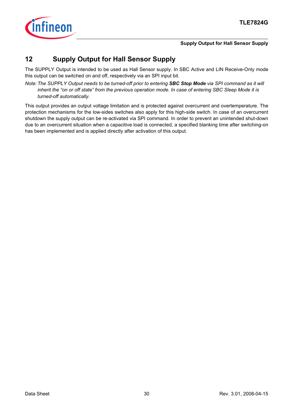

### **Supply Output for Hall Sensor Supply**

# <span id="page-29-0"></span>**12 Supply Output for Hall Sensor Supply**

The SUPPLY Output is intended to be used as Hall Sensor supply. In SBC Active and LIN Receive-Only mode this output can be switched on and off, respectively via an SPI input bit.

*Note: The SUPPLY Output needs to be turned-off prior to entering SBC Stop Mode via SPI command as it will inherit the "on or off state" from the previous operation mode. In case of entering SBC Sleep Mode it is turned-off automatically.*

This output provides an output voltage limitation and is protected against overcurrent and overtemperature. The protection mechanisms for the low-sides switches also apply for this high-side switch. In case of an overcurrent shutdown the supply output can be re-activated via SPI command. In order to prevent an unintended shut-down due to an overcurrent situation when a capacitive load is connected, a specified blanking time after switching-on has been implemented and is applied directly after activation of this output.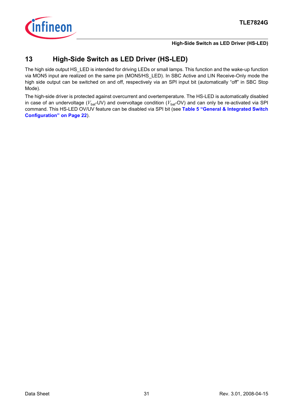

### **High-Side Switch as LED Driver (HS-LED)**

# <span id="page-30-0"></span>**13 High-Side Switch as LED Driver (HS-LED)**

The high side output HS\_LED is intended for driving LEDs or small lamps. This function and the wake-up function via MON5 input are realized on the same pin (MON5/HS\_LED). In SBC Active and LIN Receive-Only mode the high side output can be switched on and off, respectively via an SPI input bit (automatically "off" in SBC Stop Mode).

The high-side driver is protected against overcurrent and overtemperature. The HS-LED is automatically disabled in case of an undervoltage ( $V_{\text{bat}}$ -UV) and overvoltage condition ( $V_{\text{bat}}$ -OV) and can only be re-activated via SPI command. This HS-LED OV/UV feature can be disabled via SPI bit (see **[Table 5 "General & Integrated Switch](#page-21-0) [Configuration" on Page 22](#page-21-0)**).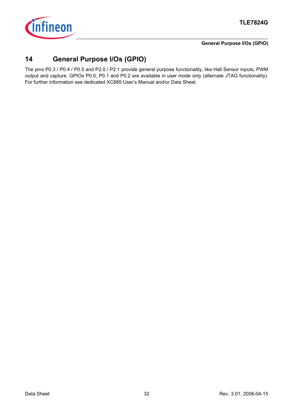

### **General Purpose I/Os (GPIO)**

# <span id="page-31-0"></span>**14 General Purpose I/Os (GPIO)**

The pins P0.3 / P0.4 / P0.5 and P2.0 / P2.1 provide general purpose functionality, like Hall Sensor inputs, PWM output and capture. GPIOs P0.0, P0.1 and P0.2 are available in user mode only (alternate JTAG functionality). For further information see dedicated XC885 User's Manual and/or Data Sheet.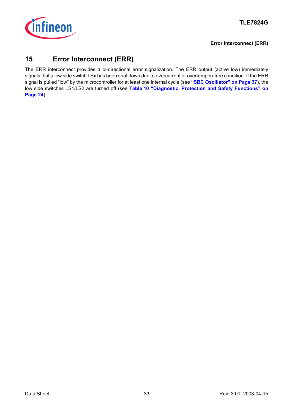

### **Error Interconnect (ERR)**

# <span id="page-32-0"></span>**15 Error Interconnect (ERR)**

The ERR interconnect provides a bi-directional error signalization. The ERR output (active low) immediately signals that a low side switch LSx has been shut down due to overcurrent or overtemperature condition. If the ERR signal is pulled "low" by the microcontroller for at least one internal cycle (see **["SBC Oscillator" on Page 37](#page-36-0)**), the low side switches LS1/LS2 are turned off (see **[Table 10 "Diagnostic, Protection and Safety Functions" on](#page-23-0) [Page 24](#page-23-0)**).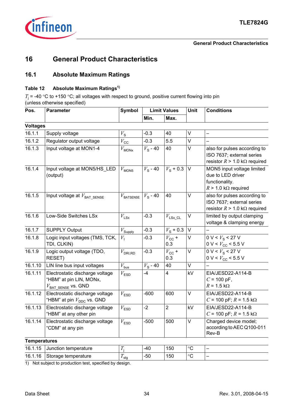

# <span id="page-33-1"></span><span id="page-33-0"></span>**16.1 Absolute Maximum Ratings**

### **Table 12 Absolute Maximum Ratings1)**

 $T_{\rm j}$  = -40 °C to +150 °C; all voltages with respect to ground, positive current flowing into pin (unless otherwise specified)

| Pos.                | <b>Parameter</b>                                                                                | Symbol              | <b>Limit Values</b> |                          | <b>Unit</b> | <b>Conditions</b>                                                                                       |  |
|---------------------|-------------------------------------------------------------------------------------------------|---------------------|---------------------|--------------------------|-------------|---------------------------------------------------------------------------------------------------------|--|
|                     |                                                                                                 |                     | Min.                | Max.                     |             |                                                                                                         |  |
| <b>Voltages</b>     |                                                                                                 |                     |                     |                          |             |                                                                                                         |  |
| 16.1.1              | Supply voltage                                                                                  | $V_{\rm S}$         | $-0.3$              | 40                       | V           |                                                                                                         |  |
| 16.1.2              | Regulator output voltage                                                                        | $V_{\rm CC}$        | $-0.3$              | 5.5                      | $\vee$      |                                                                                                         |  |
| 16.1.3              | Input voltage at MON1-4                                                                         | $V_{\text{MONx}}$   | $V_{\rm s}$ - 40    | 40                       | $\vee$      | also for pulses according to<br>ISO 7637; external series<br>resistor $R > 1.0$ k $\Omega$ required     |  |
| 16.1.4              | Input voltage at MON5/HS_LED<br>(output)                                                        | $V_{\text{MON5}}$   | $V_{\rm s}$ - 40    | $V_{\rm S}$ + 0.3        | $\vee$      | MON5 input voltage limited<br>due to LED driver<br>functionality.<br>$R > 1.0 \text{ k}\Omega$ required |  |
| 16.1.5              | Input voltage at $V_{\sf BAT\_SENSE}$                                                           | $V_{\rm BATSENSE}$  | $V_{\rm S}$ - 40    | 40                       | $\vee$      | also for pulses according to<br>ISO 7637; external series<br>resistor $R > 1.0$ k $\Omega$ required     |  |
| 16.1.6              | Low-Side Switches LSx                                                                           | $V_{\mathsf{LSx}}$  | $-0.3$              | $V_{\rm LSx\_CL}$        | $\vee$      | limited by output clamping<br>voltage & clamping energy                                                 |  |
| 16.1.7              | <b>SUPPLY Output</b>                                                                            | $V_{\text{Supply}}$ | $-0.3$              | $V_{\rm S}$ + 0.3        | V           |                                                                                                         |  |
| 16.1.8              | Logic input voltages (TMS, TCK,<br>TDI, CLKIN)                                                  | $V_1$               | $-0.3$              | $V_{\text{CC}}$ +<br>0.3 | $\vee$      | 0 V < V <sub>s</sub> < 27 V<br>0 V < $V_{\rm CC}$ < 5.5 V                                               |  |
| 16.1.9              | Logic output voltage (TDO,<br>RESET)                                                            | $V_{\rm DRI, RD}$   | $-0.3$              | $V_{\rm CC}$ +<br>0.3    | V           | 0 V < V <sub>s</sub> < 27 V<br>0 V < $V_{\rm CC}$ < 5.5 V                                               |  |
| 16.1.10             | LIN line bus input voltages                                                                     | $V_{\text{bus}}$    | $V_{\rm S}$ - 40    | 40                       | V           |                                                                                                         |  |
| 16.1.11             | Electrostatic discharge voltage<br>"HBM" at pin LIN, MONx,<br>$V_{\mathsf{BAT\_SENSE}}$ vs. GND | $V_{\mathsf{ESD}}$  | -4                  | $\overline{4}$           | kV          | EIA/JESD22-A114-B<br>$C = 100$ pF,<br>$R = 1.5 \text{ k}\Omega$                                         |  |
| 16.1.12             | Electrostatic discharge voltage<br>"HBM" at pin $V_{DDC}$ vs. GND                               | $V_{\mathsf{ESD}}$  | $-600$              | 600                      | V           | EIA/JESD22-A114-B<br>$C = 100 \text{ pF}; R = 1.5 \text{ k}\Omega$                                      |  |
| 16.1.13             | Electrostatic discharge voltage<br>"HBM" at any other pin                                       | $V_{ESD}$           | $-2$                | $\overline{2}$           | kV          | EIA/JESD22-A114-B<br>$C = 100 \text{ pF}; R = 1.5 \text{ k}\Omega$                                      |  |
| 16.1.14             | Electrostatic discharge voltage<br>"CDM" at any pin                                             | $V_{\mathsf{ESD}}$  | $-500$              | 500                      | $\vee$      | Charged device model;<br>according to AEC Q100-011<br>Rev-B                                             |  |
| <b>Temperatures</b> |                                                                                                 |                     |                     |                          |             |                                                                                                         |  |
| 16.1.15             | Junction temperature                                                                            | $T_{\rm i}$         | -40                 | 150                      | $\circ$ C   |                                                                                                         |  |
| 16.1.16             | Storage temperature                                                                             | $T_{\text{stg}}$    | $-50$               | 150                      | $\circ$ C   |                                                                                                         |  |

<span id="page-33-2"></span>1) Not subject to production test, specified by design.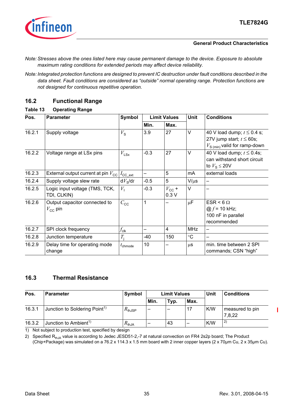

- *Note: Stresses above the ones listed here may cause permanent damage to the device. Exposure to absolute maximum rating conditions for extended periods may affect device reliability.*
- *Note: Integrated protection functions are designed to prevent IC destruction under fault conditions described in the data sheet. Fault conditions are considered as "outside" normal operating range. Protection functions are not designed for continuous repetitive operation.*

# <span id="page-34-2"></span><span id="page-34-0"></span>**16.2 Functional Range**

### <span id="page-34-3"></span>**Table 13 Operating Range**

| Pos.   | <b>Parameter</b>                                  | Symbol               | <b>Limit Values</b> |                        | <b>Unit</b>     | <b>Conditions</b>                                                                                         |  |
|--------|---------------------------------------------------|----------------------|---------------------|------------------------|-----------------|-----------------------------------------------------------------------------------------------------------|--|
|        |                                                   |                      | Min.                | Max.                   |                 |                                                                                                           |  |
| 16.2.1 | Supply voltage                                    | $V_{\rm S}$          | 3.9                 | 27                     | $\vee$          | 40 V load dump; $t \le 0.4$ s;<br>27V jump start; $t \le 60$ s;<br>$V_{\rm S\ (min)}$ valid for ramp-down |  |
| 16.2.2 | Voltage range at LSx pins                         | $V_{LSx}$            | $-0.3$              | 27                     | $\vee$          | 40 V load dump; $t \le 0.4$ s;<br>can withstand short circuit<br>to $V_{\rm S} \leq 20V$                  |  |
| 16.2.3 | External output current at pin $V_{\text{cc}}$    | $I_{\text{CC\_ext}}$ |                     | 5                      | mA              | external loads                                                                                            |  |
| 16.2.4 | Supply voltage slew rate                          | $dV_{\rm s}/dt$      | $-0.5$              | 5                      | $V/\mu s$       |                                                                                                           |  |
| 16.2.5 | Logic input voltage (TMS, TCK,<br>TDI, CLKIN)     | $V_1$                | $-0.3$              | $V_{\rm CC}$ +<br>0.3V | $\vee$          |                                                                                                           |  |
| 16.2.6 | Output capacitor connected to<br>$V_{\rm CC}$ pin | $C_{\text{CC}}$      | 1                   |                        | $\mu$ F         | ESR < 6 $\Omega$<br>@ $f = 10$ kHz;<br>100 nF in parallel<br>recommended                                  |  |
| 16.2.7 | SPI clock frequency                               | $f_{\sf{clk}}$       |                     | $\overline{4}$         | <b>MHz</b>      |                                                                                                           |  |
| 16.2.8 | Junction temperature                              | $T_{\rm i}$          | -40                 | 150                    | $\rm ^{\circ}C$ |                                                                                                           |  |
| 16.2.9 | Delay time for operating mode<br>change           | $t_{\text{chmode}}$  | 10                  |                        | $\mu$ S         | min. time between 2 SPI<br>commands; CSN "high"                                                           |  |

# <span id="page-34-5"></span><span id="page-34-1"></span>**16.3 Thermal Resistance**

<span id="page-34-6"></span>

| Pos.   | <b>Parameter</b>                          | Symbol               | <b>Limit Values</b> |      |      | <b>Unit</b> | <b>Conditions</b>         |
|--------|-------------------------------------------|----------------------|---------------------|------|------|-------------|---------------------------|
|        |                                           |                      | Min.                | Typ. | Max. |             |                           |
| 16.3.1 | Junction to Soldering Point <sup>1)</sup> | $R_{\mathsf{thJSP}}$ |                     | -    |      | K/W         | measured to pin<br>7,8,22 |
| 16.3.2 | Junction to Ambient <sup>1)</sup>         | $R_{thJA}$           |                     | 43   | -    | K/W         | 2)                        |

<span id="page-34-4"></span>1) Not subject to production test, specified by design

2) Specified R<sub>thJA</sub> value is according to Jedec JESD51-2,-7 at natural convection on FR4 2s2p board; The Product (Chip+Package) was simulated on a 76.2 x 114.3 x 1.5 mm board with 2 inner copper layers (2 x 70µm Cu, 2 x 35µm Cu).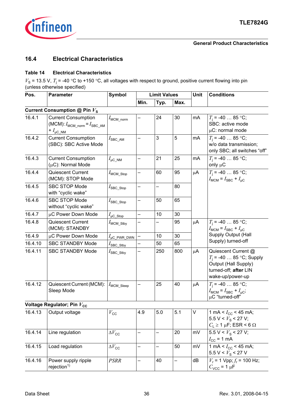

### <span id="page-35-0"></span>**16.4 Electrical Characteristics**

### <span id="page-35-1"></span>**Table 14 Electrical Characteristics**

 $V_s$  = 13.5 V,  $T_i$  = -40 °C to +150 °C, all voltages with respect to ground, positive current flowing into pin (unless otherwise specified)

| Pos.    | <b>Parameter</b>                                                                                     | <b>Symbol</b>           | <b>Limit Values</b>      |      |                   | Unit    | <b>Conditions</b>                                                                                                     |
|---------|------------------------------------------------------------------------------------------------------|-------------------------|--------------------------|------|-------------------|---------|-----------------------------------------------------------------------------------------------------------------------|
|         |                                                                                                      |                         | Min.                     | Typ. | Max.              |         |                                                                                                                       |
|         | Current Consumption @ Pin $V_s$                                                                      |                         |                          |      |                   |         |                                                                                                                       |
| 16.4.1  | <b>Current Consumption</b><br>(MCM): $I_{\text{MCM}}$ norm = $I_{\text{SBC AM}}$<br>$+ I_{\mu C_NM}$ | $I_{\text{MCM\_norm}}$  |                          | 24   | 30                | mA      | $T_i = -40$ 85 °C;<br>SBC: active mode<br>$\mu$ C: normal mode                                                        |
| 16.4.2  | <b>Current Consumption</b><br>(SBC): SBC Active Mode                                                 | $I_{\sf SBC\_AM}$       |                          | 3    | 5                 | mA      | $T_i = -40$ 85 °C;<br>w/o data transmission;<br>only SBC; all switches "off"                                          |
| 16.4.3  | <b>Current Consumption</b><br>$(\mu C)$ : Normal Mode                                                | $I_{\mu C\_NM}$         |                          | 21   | 25                | mA      | $T_1 = -40$ 85 °C;<br>only $\mu$ C                                                                                    |
| 16.4.4  | Quiescent Current<br>(MCM): STOP Mode                                                                | $I_{\text{MCM\_Stop}}$  |                          | 60   | 95                | $\mu$ A | $T_i = -40$ 85 °C;<br>$I_{\text{MCM}} = I_{\text{SBC}} + I_{\text{uC}}$                                               |
| 16.4.5  | <b>SBC STOP Mode</b><br>with "cyclic wake"                                                           | $I_{\text{SBC\_Stop}}$  |                          |      | 80                |         |                                                                                                                       |
| 16.4.6  | SBC STOP Mode<br>without "cyclic wake"                                                               | $I_{\text{SBC\_Stop}}$  | $\overline{\phantom{0}}$ | 50   | 65                |         |                                                                                                                       |
| 16.4.7  | μC Power Down Mode                                                                                   | $I_{\mu C\_Stop}$       |                          | 10   | 30                |         |                                                                                                                       |
| 16.4.8  | Quiescent Current<br>(MCM): STANDBY                                                                  | $I_{\text{MCM\_Stby}}$  |                          |      | 95                | μA      | $T_i = -40$ 85 °C;<br>$I_{\text{MCM}} = I_{\text{SBC}} + I_{\mu\text{C}}$                                             |
| 16.4.9  | µC Power Down Mode                                                                                   | $I_{\mu C_PWR_DWN}$     |                          | 10   | 30                |         | Supply Output (Hall                                                                                                   |
| 16.4.10 | <b>SBC STANDBY Mode</b>                                                                              | $I_{\text{SBC\_Stby}}$  |                          | 50   | 65                |         | Supply) turned-off                                                                                                    |
| 16.4.11 | <b>SBC STANDBY Mode</b>                                                                              | $I_{\text{SBC\_Stby}}$  |                          | 250  | 800               | μA      | Quiescent Current @<br>$T_i = -40$ 85 °C; Supply<br>Output (Hall Supply)<br>turned-off; after LIN<br>wake-up/power-up |
| 16.4.12 | Quiescent Current (MCM):<br>Sleep Mode                                                               | $I_{\text{MCM\_Sleep}}$ |                          | 25   | 40                | $\mu$ A | $T_i = -40$ 85 °C;<br>$I_{\text{MCM}} = I_{\text{SBC}} + I_{\mu\text{C}}$ ;<br>µC "turned-off"                        |
|         | Voltage Regulator; Pin V <sub>cc</sub>                                                               |                         |                          |      |                   |         |                                                                                                                       |
| 16.4.13 | Output voltage                                                                                       | $V_{\rm CC}$            | 4.9                      | 5.0  | 5.1               | V       | 1 mA < $I_{\rm CC}$ < 45 mA;<br>5.5 V < $V_S$ < 27 V;<br>$C_{\rm L} \geq 1$ µF; ESR < 6 $\Omega$                      |
| 16.4.14 | Line regulation                                                                                      | $\Delta V_{\rm CC}$     | $\overline{\phantom{0}}$ |      | 20                | mV      | 5.5 V < $V_S$ < 27 V;<br>$I_{\text{CC}}$ = 1 mA                                                                       |
| 16.4.15 | Load regulation                                                                                      | $\Delta V_{\rm CC}$     | -                        | -    | 50                | mV      | 1 mA < $I_{\rm CC}$ < 45 mA;<br>5.5 V < $V_{\rm s}$ < 27 V                                                            |
| 16.4.16 | Power supply ripple                                                                                  | <b>PSRR</b>             | $\overline{\phantom{0}}$ | 40   | $\qquad \qquad -$ | dB      | $V_r$ = 1 Vpp; $f_r$ = 100 Hz;                                                                                        |

 $rejection<sup>1</sup>$ 

 $C_{\text{VCC}}$  = 1  $\mu$ F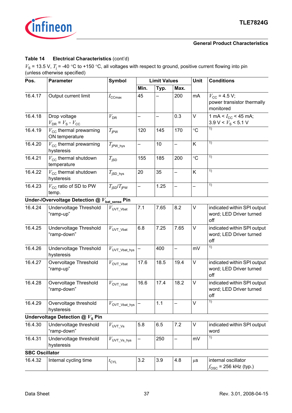

### **Table 14 Electrical Characteristics** (cont'd)

<span id="page-36-0"></span>

| Pos.                  | <b>Parameter</b>                                                   | <b>Symbol</b>                            | <b>Limit Values</b> |      |                          | Unit      | <b>Conditions</b>                                                |
|-----------------------|--------------------------------------------------------------------|------------------------------------------|---------------------|------|--------------------------|-----------|------------------------------------------------------------------|
|                       |                                                                    |                                          | Min.                | Typ. | Max.                     |           |                                                                  |
| 16.4.17               | Output current limit                                               | $I_{\text{CCmax}}$                       | 45                  |      | 200                      | mA        | $V_{\rm CC}$ = 4.5 V;<br>power transistor thermally<br>monitored |
| 16.4.18               | Drop voltage<br>$V_{\text{DR}}$ = $V_{\text{S}}$ - $V_{\text{CC}}$ | $V_{\text{DR}}$                          | $\equiv$            |      | 0.3                      | V         | 1 mA < $I_{\rm CC}$ < 45 mA;<br>3.9 V < $V_{\rm s}$ < 5.1 V      |
| 16.4.19               | $V_{\text{cc}}$ thermal prewarning<br>ON temperature               | $T_{\rm jPW}$                            | 120                 | 145  | 170                      | $\circ$ C | 1)                                                               |
| 16.4.20               | $V_{\text{cc}}$ thermal prewarning<br>hysteresis                   | $T_{\rm jPW\_hys}$                       |                     | 10   |                          | K         | 1)                                                               |
| 16.4.21               | $V_{\text{CC}}$ thermal shutdown<br>temperature                    | $T_{\text{JSD}}$                         | 155                 | 185  | 200                      | $\circ$ C | 1)                                                               |
| 16.4.22               | $V_{\text{CC}}$ thermal shutdown<br>hysteresis                     | $T_{\sf jSD\_hys}$                       | 20                  | 35   | -                        | K         | 1)                                                               |
| 16.4.23               | $V_{\text{CC}}$ ratio of SD to PW<br>temp.                         | $T_{\text{ISD}}/T_{\text{IPW}}$          |                     | 1.25 | $\overline{\phantom{0}}$ |           | 1)                                                               |
|                       | Under-/Overvoltage Detection @ $V_{\text{bat\_sense}}$ Pin         |                                          |                     |      |                          |           |                                                                  |
| 16.4.24               | Undervoltage Threshold<br>"ramp-up"                                | $V_{\text{UVT\_Vbat}}$                   | 7.1                 | 7.65 | 8.2                      | V         | indicated within SPI output<br>word; LED Driver turned<br>off    |
| 16.4.25               | Undervoltage Threshold<br>"ramp-down"                              | $V_{\text{UVT\_Vbat}}$                   | 6.8                 | 7.25 | 7.65                     | V         | indicated within SPI output<br>word; LED Driver turned<br>off    |
| 16.4.26               | Undervoltage Threshold<br>hysteresis                               | $V$ UVT_Vbat_hys                         |                     | 400  | $\overline{\phantom{0}}$ | mV        | 1)                                                               |
| 16.4.27               | Overvoltage Threshold<br>"ramp-up"                                 | $V_{\text{OVT\_Vbat}}$                   | 17.6                | 18.5 | 19.4                     | V         | indicated within SPI output<br>word; LED Driver turned<br>off    |
| 16.4.28               | Overvoltage Threshold<br>"ramp-down"                               | $V_{\text{OVT\_Vbat}}$                   | 16.6                | 17.4 | 18.2                     | V         | indicated within SPI output<br>word; LED Driver turned<br>off    |
| 16.4.29               | Overvoltage threshold<br>hysteresis                                | $V_{\rm OVT\_Vbat\_hys}$                 |                     | 1.1  |                          | V         | $\overline{1}$                                                   |
|                       | Undervoltage Detection $@Vs$ Pin                                   |                                          |                     |      |                          |           |                                                                  |
| 16.4.30               | Undervoltage threshold<br>"ramp-down"                              | $V_{\text{UVT}\_}\text{Vs}}$             | 5.8                 | 6.5  | 7.2                      | V         | indicated within SPI output<br>word                              |
| 16.4.31               | Undervoltage threshold<br>hysteresis                               | $V_{\ensuremath{\mathsf{UVT\_Vs\_hys}}}$ |                     | 250  | -                        | mV        | $\overline{1}$                                                   |
| <b>SBC Oscillator</b> |                                                                    |                                          |                     |      |                          |           |                                                                  |
| 16.4.32               | Internal cycling time                                              | $t_{\sf{CYL}}$                           | 3.2                 | 3.9  | 4.8                      | $\mu$ s   | internal oscillator<br>$f_{\rm OSC}$ = 256 kHz (typ.)            |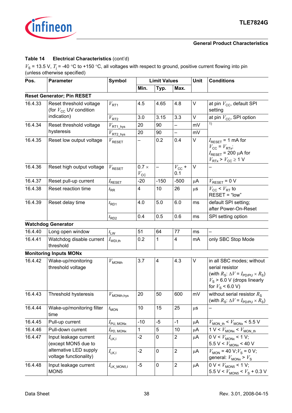

### **Table 14 Electrical Characteristics** (cont'd)

<span id="page-37-2"></span><span id="page-37-1"></span><span id="page-37-0"></span>

| Pos.    | <b>Parameter</b>                                             | <b>Symbol</b>               |                              | <b>Limit Values</b>     |                         | Unit    | <b>Conditions</b>                                                                                                                                                                    |  |  |
|---------|--------------------------------------------------------------|-----------------------------|------------------------------|-------------------------|-------------------------|---------|--------------------------------------------------------------------------------------------------------------------------------------------------------------------------------------|--|--|
|         |                                                              |                             | Min.                         | Typ.                    | Max.                    |         |                                                                                                                                                                                      |  |  |
|         | <b>Reset Generator; Pin RESET</b>                            |                             |                              |                         |                         |         |                                                                                                                                                                                      |  |  |
| 16.4.33 | Reset threshold voltage<br>(for $V_{\text{cc}}$ UV condition | $V_{\text{RT1}}$            | 4.5                          | 4.65                    | 4.8                     | V       | at pin $V_{\text{cc}}$ , default SPI<br>setting                                                                                                                                      |  |  |
|         | indication)                                                  | $V_{\rm RT2}$               | 3.0                          | 3.15                    | 3.3                     | V       | at pin $V_{\text{CC}}$ , SPI option                                                                                                                                                  |  |  |
| 16.4.34 | Reset threshold voltage                                      | $V_{\mathsf{RT1\_hys}}$     | 20                           | 90                      | -                       | mV      | 1)                                                                                                                                                                                   |  |  |
|         | hysteresis                                                   | $V_{\rm RT2\_{hys}}$        | 20                           | 90                      |                         | mV      |                                                                                                                                                                                      |  |  |
| 16.4.35 | Reset low output voltage                                     | $V_{\text{RESET}}$          |                              | 0.2                     | 0.4                     | V       | $I_{\text{RESET}}$ = 1 mA for<br>$V_{\text{CC}} = V_{\text{RTx}}$ ;<br>$I_{\text{RESET}}$ = 200 µA for<br>$V_{\text{RTx}}$ > $V_{\text{CC}}$ $\geq$ 1 V                              |  |  |
| 16.4.36 | Reset high output voltage                                    | $V_{\text{RESET}}$          | $0.7 \times$<br>$V_{\rm CC}$ |                         | $V_{\rm CC}$ +<br>0.1   | V       |                                                                                                                                                                                      |  |  |
| 16.4.37 | Reset pull-up current                                        | $I_{\text{RESET}}$          | $-20$                        | $-150$                  | $-500$                  | μA      | $V_{\text{RESET}} = 0 \text{ V}$                                                                                                                                                     |  |  |
| 16.4.38 | Reset reaction time                                          | $t_{\mathsf{RR}}$           | 4                            | 10                      | 26                      | $\mu$ s | $V_{\text{CC}}$ < $V_{\text{RT}}$ to<br>RESET = "low"                                                                                                                                |  |  |
| 16.4.39 | Reset delay time                                             | $t_{\sf RD1}$               | 4.0                          | 5.0                     | 6.0                     | ms      | default SPI setting;<br>after Power-On-Reset                                                                                                                                         |  |  |
|         |                                                              | $t_{\text{RD2}}$            | 0.4                          | 0.5                     | 0.6                     | ms      | SPI setting option                                                                                                                                                                   |  |  |
|         | <b>Watchdog Generator</b>                                    |                             |                              |                         |                         |         |                                                                                                                                                                                      |  |  |
| 16.4.40 | Long open window                                             | $t_{\text{LW}}$             | 51                           | 64                      | 77                      | ms      | $\overline{\phantom{0}}$                                                                                                                                                             |  |  |
| 16.4.41 | Watchdog disable current<br>threshold                        | $I_{WDI,th}$                | 0.2                          | $\mathbf{1}$            | $\overline{\mathbf{4}}$ | mA      | only SBC Stop Mode                                                                                                                                                                   |  |  |
|         | <b>Monitoring Inputs MONx</b>                                |                             |                              |                         |                         |         |                                                                                                                                                                                      |  |  |
| 16.4.42 | Wake-up/monitoring<br>threshold voltage                      | $V_{\text{MONth}}$          | 3.7                          | $\overline{\mathbf{4}}$ | 4.3                     | V       | in all SBC modes; without<br>serial resistor<br>(with $R_{\rm S}$ : $\Delta V = I_{\rm PD/PU} \times R_{\rm S}$ )<br>$V_{\rm s}$ > 6.0 V (drops linearly<br>for $V_{\rm S}$ < 6.0 V) |  |  |
| 16.4.43 | Threshold hysteresis                                         | $V_{\text{MONth, hys}}$     | 20                           | 50                      | 600                     | mV      | without serial resistor $R_{\rm s}$<br>(with $R_{\rm S}$ : $\Delta V = I_{\rm PD/PU} \times R_{\rm S}$ )                                                                             |  |  |
| 16.4.44 | Wake-up/monitoring filter<br>time                            | $t_{\text{MON}}$            | 10                           | 15                      | 25                      | $\mu$ s |                                                                                                                                                                                      |  |  |
| 16.4.45 | Pull-up current                                              | $I_{\text{PU},\text{MONx}}$ | $-10$                        | $-5$                    | $-1$                    | μA      | $V_{\text{MON\_th}}$ < $V_{\text{MONx}}$ < 5.5 V                                                                                                                                     |  |  |
| 16.4.46 | Pull-down current                                            | $I_{\text{PD, MONx}}$       | 1                            | 5                       | 10                      | μA      | 1 V < $V_{\text{MONx}}$ < $V_{\text{MON\_th}}$                                                                                                                                       |  |  |
| 16.4.47 | Input leakage current<br>(except MON5 due to                 | $I_{LK,1}$                  | $-2$                         | 0                       | $\overline{2}$          | μA      | $0 V < V_{MONx} < 1 V$ ;<br>$5.5~\mathrm{V} < V_\mathrm{MONx} < 40~\mathrm{V}$                                                                                                       |  |  |
|         | alternative LED supply<br>voltage functionality)             | $I_{LK,1}$                  | $-2$                         | 0                       | $\boldsymbol{2}$        | μA      | $V_{\text{MON}}$ = 40 V; $V_{\text{S}}$ = 0 V;<br>general: $V_{\text{MONx}}$ > $V_{\text{S}}$                                                                                        |  |  |
| 16.4.48 | Input leakage current<br>MON <sub>5</sub>                    | $I_{LK\_MON5,I}$            | $-5$                         | 0                       | $\overline{2}$          | μA      | $0 V < V_{MON5}$ < 1 V;<br>$5.5 V < V_{MON5} < V_{S} + 0.3 V$                                                                                                                        |  |  |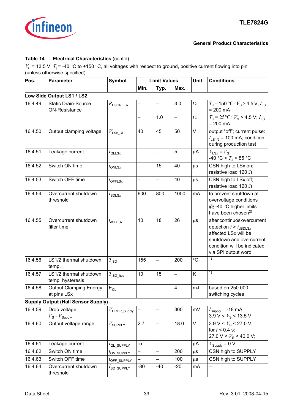

### **Table 14 Electrical Characteristics** (cont'd)

| Pos.    | <b>Parameter</b>                                   |                                    | <b>Limit Values</b> |                   | Unit                     | <b>Conditions</b> |                                                                                                                                                                     |  |
|---------|----------------------------------------------------|------------------------------------|---------------------|-------------------|--------------------------|-------------------|---------------------------------------------------------------------------------------------------------------------------------------------------------------------|--|
|         |                                                    |                                    | Min.                | Typ.              | Max.                     |                   |                                                                                                                                                                     |  |
|         | Low Side Output LS1 / LS2                          |                                    |                     |                   |                          |                   |                                                                                                                                                                     |  |
| 16.4.49 | <b>Static Drain-Source</b><br><b>ON-Resistance</b> | $R_{\text{DSON LSx}}$              |                     |                   | 3.0                      | $\Omega$          | $T_{\rm J}$ = 150 °C; $V_{\rm S}$ > 4.5 V; $I_{\rm LS}$<br>$= 200$ mA                                                                                               |  |
|         |                                                    |                                    |                     | 1.0               | $\overline{\phantom{0}}$ | $\Omega$          | $T_{\rm J}$ = 25°C; $V_{\rm S}$ > 4.5 V; $I_{\rm LS}$<br>$= 200$ mA                                                                                                 |  |
| 16.4.50 | Output clamping voltage                            | $V_{LSx\_CL}$                      | 40                  | 45                | 50                       | $\vee$            | output "off"; current pulse:<br>$I_{LS1/2}$ = 100 mA; condition<br>during production test                                                                           |  |
| 16.4.51 | Leakage current                                    | $I_{\sf QLLSx}$                    |                     |                   | 5                        | μA                | $V_{LSx} = V_{S}$<br>-40 °C < $T_{\rm J}$ < 85 °C                                                                                                                   |  |
| 16.4.52 | Switch ON time                                     | $t_{\text{ONLSx}}$                 |                     | 15                | 40                       | $\mu$ S           | CSN high to LSx on;<br>resistive load 120 $\Omega$                                                                                                                  |  |
| 16.4.53 | Switch OFF time                                    | $t_{\text{OFFLSx}}$                |                     |                   | 40                       | $\mu$ S           | CSN high to LSx off;<br>resistive load 120 $\Omega$                                                                                                                 |  |
| 16.4.54 | Overcurrent shutdown<br>threshold                  | $I_{\text{SDLSx}}$                 | 600                 | 800               | 1000                     | mA                | to prevent shutdown at<br>overvoltage conditions<br>@-40 °C higher limits<br>have been chosen <sup>2)</sup>                                                         |  |
| 16.4.55 | Overcurrent shutdown<br>filter time                | $t_{dSDLSx}$                       | 10                  | 18                | 26                       | $\mu$ S           | after continuos overcurrent<br>detection $t > t_{dSDLSx}$<br>affected LSx will be<br>shutdown and overcurrent<br>condition will be indicated<br>via SPI output word |  |
| 16.4.56 | LS1/2 thermal shutdown<br>temp.                    | $T_{\mathsf{jSD}}$                 | 155                 | $\equiv$          | 200                      | $\rm ^{\circ}C$   | 1)                                                                                                                                                                  |  |
| 16.4.57 | LS1/2 thermal shutdown<br>temp. hysteresis         | $T_{\sf jSD\_hys}$                 | 10                  | 15                | $\overline{\phantom{0}}$ | Κ                 | $\overline{1}$                                                                                                                                                      |  |
| 16.4.58 | <b>Output Clamping Energy</b><br>at pins LSx       | $E_{CL}$                           |                     |                   | 4                        | mJ                | based on 250.000<br>switching cycles                                                                                                                                |  |
|         | <b>Supply Output (Hall Sensor Supply)</b>          |                                    |                     |                   |                          |                   |                                                                                                                                                                     |  |
| 16.4.59 | Drop voltage<br>$V_{\rm S}$ - $V_{\rm Supply}$     | $V_{\mathsf{DROP\_Supply}}$        |                     |                   | 300                      | mV                | $I_{\text{Supply}} = -18 \text{ mA}$ ;<br>$3.9 \text{ V} < V_{\text{S}} < 13.5 \text{ V}$                                                                           |  |
| 16.4.60 | Output voltage range                               | $V_{\text{SUPPLY}}$                | 2.7                 |                   | 18.0                     | $\mathsf V$       | $3.9 V < Vs < 27.0 V$ ;<br>for $t < 0.4$ s:<br>27.0 V < $V_{\rm s}$ < 40.0 V;                                                                                       |  |
| 16.4.61 | Leakage current                                    | $I_{\mathsf{QL\_SUPPLY}}$          | $-5$                |                   | —                        | $\mu$ A           | $V_{\text{Supply}} = 0 \text{ V}$                                                                                                                                   |  |
| 16.4.62 | Switch ON time                                     | $t_{\mathsf{ON\_SUPPLY}}$          | -                   | $\qquad \qquad -$ | 200                      | $\mu$ s           | CSN high to SUPPLY                                                                                                                                                  |  |
| 16.4.63 | Switch OFF time                                    | $t_{\text{OFF}}$ supply            |                     |                   | 100                      | $\mu$ S           | CSN high to SUPPLY                                                                                                                                                  |  |
| 16.4.64 | Overcurrent shutdown<br>threshold                  | $I_{\mathsf{SD}\_\mathsf{SUPPLY}}$ | -80                 | $-40$             | $-20$                    | mA                |                                                                                                                                                                     |  |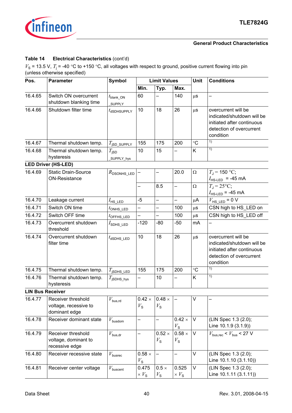

### **Table 14 Electrical Characteristics** (cont'd)

| Pos.                    | <b>Symbol</b><br><b>Limit Values</b><br><b>Parameter</b>     |                                   |                              |                              |                              | <b>Unit</b>     | <b>Conditions</b>                                                                                                        |  |  |  |
|-------------------------|--------------------------------------------------------------|-----------------------------------|------------------------------|------------------------------|------------------------------|-----------------|--------------------------------------------------------------------------------------------------------------------------|--|--|--|
|                         |                                                              |                                   | Min.                         | Typ.                         | Max.                         |                 |                                                                                                                          |  |  |  |
| 16.4.65                 | Switch ON overcurrent<br>shutdown blanking time              | $t_{\sf blank\_ON}$<br>SUPPLY     | 60                           |                              | 140                          | $\mu$ S         |                                                                                                                          |  |  |  |
| 16.4.66                 | Shutdown filter time                                         | $t_{dSDHSUPPLY}$                  | 10                           | 18                           | 26                           | $\mu$ s         | overcurrent will be<br>indicated/shutdown will be<br>initiated after continuous<br>detection of overcurrent<br>condition |  |  |  |
| 16.4.67                 | Thermal shutdown temp.                                       | $T_{\text{JSD\_SUPPLY}}$          | 155                          | 175                          | 200                          | $\rm ^{\circ}C$ | 1)                                                                                                                       |  |  |  |
| 16.4.68                 | Thermal shutdown temp.                                       | $T_{\mathsf{ISD}}$                | 10                           | 15                           | —                            | Κ               | 1)                                                                                                                       |  |  |  |
|                         | hysteresis                                                   | _SUPPLY_hys                       |                              |                              |                              |                 |                                                                                                                          |  |  |  |
|                         | <b>LED Driver (HS-LED)</b>                                   |                                   |                              |                              |                              |                 |                                                                                                                          |  |  |  |
| 16.4.69                 | <b>Static Drain-Source</b><br><b>ON-Resistance</b>           | $R_{\text{DSONHS}\_\text{LED}}$   |                              | —                            | 20.0                         | $\Omega$        | $T_{\rm J}$ = 150 °C;<br>$I_{\text{HS-LED}}$ = -45 mA                                                                    |  |  |  |
|                         |                                                              |                                   | —                            | 8.5                          | —                            | $\Omega$        | $T_1 = 25$ °C;<br>$I_{\text{HS-LED}}$ = -45 mA                                                                           |  |  |  |
| 16.4.70                 | Leakage current                                              | $I_{\rm HS\_LED}$                 | $-5$                         | —                            | —                            | $\mu$ A         | $V_{\text{HS}\_\text{LED}}$ = 0 V                                                                                        |  |  |  |
| 16.4.71                 | Switch ON time                                               | $t_{\text{ONHS\_LED}}$            |                              |                              | 100                          | $\mu$ S         | CSN high to HS_LED on                                                                                                    |  |  |  |
| 16.4.72                 | Switch OFF time                                              | $t$ OFFHS_LED                     | L,                           | $\overline{\phantom{0}}$     | 100                          | $\mu$ s         | CSN high to HS LED off                                                                                                   |  |  |  |
| 16.4.73                 | Overcurrent shutdown<br>threshold                            | $I_{\mathsf{SDHS}\_\mathsf{LED}}$ | $-120$                       | $-80$                        | $-50$                        | mA              |                                                                                                                          |  |  |  |
| 16.4.74                 | Overcurrent shutdown<br>filter time                          | $t_{\tt dSDHS\_LED}$              | 10                           | 18                           | 26                           | $\mu$ s         | overcurrent will be<br>indicated/shutdown will be<br>initiated after continuous<br>detection of overcurrent<br>condition |  |  |  |
| 16.4.75                 | Thermal shutdown temp.                                       | $T_{\sf jSDHS\_LED}$              | 155                          | 175                          | 200                          | $\rm ^{\circ}C$ | $\overline{1}$                                                                                                           |  |  |  |
| 16.4.76                 | Thermal shutdown temp.<br>hysteresis                         | $T_{\sf iSDHS\_hys}$              |                              | 10                           |                              | Κ               | 1)                                                                                                                       |  |  |  |
| <b>LIN Bus Receiver</b> |                                                              |                                   |                              |                              |                              |                 |                                                                                                                          |  |  |  |
| 16.4.77                 | Receiver threshold<br>voltage, recessive to<br>dominant edge | $V_{\text{bus,rd}}$               | $0.42 \times$<br>$V_{\rm S}$ | $0.48 \times$<br>$V_{\rm S}$ |                              | $\sf V$         |                                                                                                                          |  |  |  |
| 16.4.78                 | Receiver dominant state                                      | $V_{\rm busdom}$                  |                              |                              | $0.42 \times$<br>$V_{\rm S}$ | V               | (LIN Spec 1.3 (2.0);<br>Line 10.1.9 (3.1.9))                                                                             |  |  |  |
| 16.4.79                 | Receiver threshold<br>voltage, dominant to<br>recessive edge | $V_{\mathsf{bus,dr}}$             |                              | $0.52 \times$<br>$V_{\rm S}$ | $0.58 \times$<br>$V_{\rm S}$ | V               | $V_{\text{bus. rec}} < V_{\text{bus}} < 27$ V                                                                            |  |  |  |
| 16.4.80                 | Receiver recessive state                                     | $V_{\rm{busrec}}$                 | $0.58 \times$<br>$V_{\rm S}$ |                              |                              | V               | (LIN Spec 1.3 (2.0);<br>Line 10.1.10 (3.1.10))                                                                           |  |  |  |
| 16.4.81                 | Receiver center voltage                                      | $V_{\rm{buscent}}$                | 0.475<br>$\times V_{\rm s}$  | $0.5 \times$<br>$V_{\rm S}$  | 0.525<br>$\times V_{\rm S}$  | V               | (LIN Spec 1.3 (2.0);<br>Line 10.1.11 (3.1.11))                                                                           |  |  |  |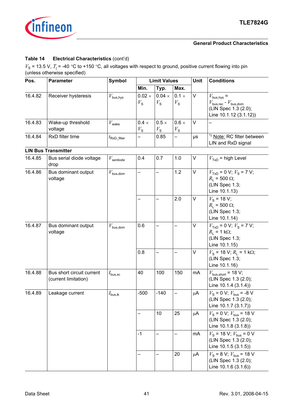

### **Table 14 Electrical Characteristics** (cont'd)

| Pos.    | <b>Parameter</b>                                  | <b>Symbol</b>         |                              | <b>Limit Values</b>          |                             | Unit   | <b>Conditions</b>                                                                                                       |
|---------|---------------------------------------------------|-----------------------|------------------------------|------------------------------|-----------------------------|--------|-------------------------------------------------------------------------------------------------------------------------|
|         |                                                   |                       | Min.                         | Typ.                         | Max.                        |        |                                                                                                                         |
| 16.4.82 | Receiver hysteresis                               | $V_{\text{bus,hys}}$  | $0.02 \times$<br>$V_{\rm S}$ | $0.04 \times$<br>$V_{\rm s}$ | $0.1 \times$<br>$V_{\rm S}$ | V      | $V_{\text{bus,hys}} =$<br>$V_{\text{bus,rec}}$ - $V_{\text{bus,dom}}$<br>(LIN Spec 1.3 (2.0);<br>Line 10.1.12 (3.1.12)) |
| 16.4.83 | Wake-up threshold<br>voltage                      | $V_{\text{wake}}$     | $0.4 \times$<br>$V_{\rm S}$  | $0.5 \times$<br>$V_{\rm S}$  | $0.6 \times$<br>$V_{\rm S}$ | $\vee$ |                                                                                                                         |
| 16.4.84 | RxD filter time                                   | $t_{\sf RxD\_filter}$ |                              | 0.85                         |                             | μs     | <sup>1)</sup> Note: RC filter between<br>LIN and RxD signal                                                             |
|         | <b>LIN Bus Transmitter</b>                        |                       |                              |                              |                             |        |                                                                                                                         |
| 16.4.85 | Bus serial diode voltage<br>drop                  | $V_{\rm{serdiode}}$   | 0.4                          | 0.7                          | 1.0                         | V      | $V_{\text{TxD}}$ = high Level                                                                                           |
| 16.4.86 | Bus dominant output<br>voltage                    | $V_{\rm bus, dom}$    | —                            | $\overline{\phantom{0}}$     | 1.2                         | V      | $VTxD = 0 V; VS = 7 V;$<br>$R_1 = 500 \Omega$ ;<br>(LIN Spec 1.3;<br>Line 10.1.13)                                      |
|         |                                                   |                       |                              |                              | 2.0                         | V      | $V_{\rm s}$ = 18 V;<br>$R_1$ = 500 $\Omega$ ;<br>(LIN Spec 1.3;<br>Line 10.1.14)                                        |
| 16.4.87 | Bus dominant output<br>voltage                    | $V_{\text{bus,dom}}$  | 0.6                          |                              |                             | V      | $VTxD = 0 V; VS = 7 V;$<br>$R_{L}$ = 1 k $\Omega$ ;<br>(LIN Spec 1.3;<br>Line 10.1.15)                                  |
|         |                                                   |                       | 0.8                          |                              |                             | V      | $V_{\rm S}$ = 18 V; $R_{\rm I}$ = 1 k $\Omega$ ;<br>(LIN Spec 1.3;<br>Line 10.1.16)                                     |
| 16.4.88 | Bus short circuit current<br>(current limitation) | $I_{\text{bus,sc}}$   | 40                           | 100                          | 150                         | mA     | $V_{\text{bus,short}}$ = 18 V;<br>(LIN Spec 1.3 (2.0);<br>Line 10.1.4 (3.1.4))                                          |
| 16.4.89 | Leakage current                                   | $I_{\text{bus, lk}}$  | $-500$                       | $-140$                       |                             | μA     | $V_{\rm s}$ = 0 V; $V_{\rm bus}$ = -8 V<br>(LIN Spec 1.3 (2.0);<br>Line 10.1.7 (3.1.7))                                 |
|         |                                                   |                       |                              | 10                           | 25                          | μA     | $V_{\rm S}$ = 0 V; $V_{\rm bus}$ = 18 V<br>(LIN Spec 1.3 (2.0);<br>Line 10.1.8 (3.1.8))                                 |
|         |                                                   |                       | $-1$                         |                              |                             | mA     | $V_{\rm S}$ = 18 V; $V_{\rm bus}$ = 0 V<br>(LIN Spec 1.3 (2.0);<br>Line 10.1.5 (3.1.5))                                 |
|         |                                                   |                       |                              |                              | 20                          | μA     | $V_{\rm S}$ = 8 V; $V_{\rm bus}$ = 18 V<br>(LIN Spec 1.3 (2.0);<br>Line 10.1.6 (3.1.6))                                 |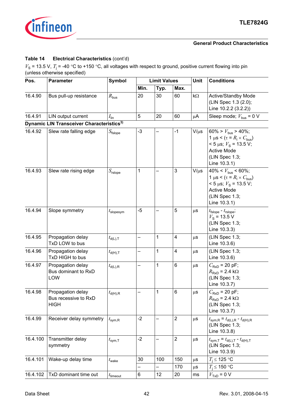

### **Table 14 Electrical Characteristics** (cont'd)

| Pos.     | <b>Parameter</b>                                         | <b>Symbol</b>         |      | <b>Limit Values</b> |                | Unit      | <b>Conditions</b>                                                                                                                                          |  |  |
|----------|----------------------------------------------------------|-----------------------|------|---------------------|----------------|-----------|------------------------------------------------------------------------------------------------------------------------------------------------------------|--|--|
|          |                                                          |                       | Min. | Typ.                | Max.           |           |                                                                                                                                                            |  |  |
| 16.4.90  | Bus pull-up resistance                                   | $R_{\text{bus}}$      | 20   | 30                  | 60             | $k\Omega$ | Active/Standby Mode<br>(LIN Spec 1.3 (2.0);<br>Line 10.2.2 (3.2.2))                                                                                        |  |  |
| 16.4.91  | LIN output current                                       | $I_{\text{lin}}$      | 5    | 20                  | 60             | $\mu$ A   | Sleep mode; $V_{bus}$ = 0 V                                                                                                                                |  |  |
|          | Dynamic LIN Transceiver Characteristics <sup>3)</sup>    |                       |      |                     |                |           |                                                                                                                                                            |  |  |
| 16.4.92  | Slew rate falling edge                                   | $S_{\text{fslope}}$   | $-3$ |                     | $-1$           | $V/\mu s$ | 60% > $V_{\text{bus}}$ > 40%;<br>1 µs < $(\tau = R_1 \times C_{bus})$<br>$<$ 5 µs; $V_s$ = 13.5 V;<br><b>Active Mode</b><br>(LIN Spec 1.3;<br>Line 10.3.1) |  |  |
| 16.4.93  | Slew rate rising edge                                    | $S_{\rm{rslope}}$     | 1    |                     | 3              | $V/\mu s$ | 40% < $V_{\text{bus}}$ < 60%;<br>1 µs < $(\tau = R_1 \times C_{bus})$<br>$<$ 5 µs; $V_s$ = 13.5 V;<br><b>Active Mode</b><br>(LIN Spec 1.3;<br>Line 10.3.1) |  |  |
| 16.4.94  | Slope symmetry                                           | $t_{\text{slopesym}}$ | $-5$ |                     | 5              | $\mu$ s   | $t_{\text{fslope}} - t_{\text{rslope}}$<br>$V_{\rm s}$ = 13.5 V<br>(LIN Spec 1.3;<br>Line 10.3.3)                                                          |  |  |
| 16.4.95  | Propagation delay<br>TxD LOW to bus                      | $t_{d(L),T}$          |      | $\mathbf{1}$        | $\overline{4}$ | $\mu$ S   | (LIN Spec 1.3;<br>Line 10.3.6)                                                                                                                             |  |  |
| 16.4.96  | Propagation delay<br>TxD HIGH to bus                     | $t_{d(H),T}$          | —    | 1                   | $\overline{4}$ | $\mu$ s   | (LIN Spec 1.3;<br>Line 10.3.6)                                                                                                                             |  |  |
| 16.4.97  | Propagation delay<br>Bus dominant to RxD<br>LOW          | $t_{d(L),R}$          |      | 1                   | 6              | $\mu$ S   | $C_{\text{RxD}}$ = 20 pF;<br>$R_{\rm{RxD}}$ = 2.4 k $\Omega$<br>(LIN Spec 1.3;<br>Line 10.3.7)                                                             |  |  |
| 16.4.98  | Propagation delay<br>Bus recessive to RxD<br><b>HIGH</b> | $t_{d(H),R}$          |      | 1                   | 6              | $\mu$ s   | $C_{\text{RxD}}$ = 20 pF;<br>$R_{\rm{RxD}}$ = 2.4 k $\Omega$<br>(LIN Spec 1.3;<br>Line 10.3.7)                                                             |  |  |
| 16.4.99  | Receiver delay symmetry                                  | $t_{\text{sym,R}}$    | $-2$ |                     | $\overline{2}$ | $\mu$ s   | $t_{\text{sym,R}} = t_{\text{d(L),R}} - t_{\text{d(H),R}}$<br>(LIN Spec 1.3;<br>Line 10.3.8)                                                               |  |  |
| 16.4.100 | Transmitter delay<br>symmetry                            | $t_{\mathsf{sym,T}}$  | $-2$ |                     | $\overline{2}$ | $\mu$ S   | $t_{\text{sym,T}} = t_{\text{d}(L),T} - t_{\text{d}(H),T}$<br>(LIN Spec 1.3;<br>Line 10.3.9)                                                               |  |  |
| 16.4.101 | Wake-up delay time                                       | $t_{\text{wake}}$     | 30   | 100                 | 150            | μS        | $T_i \leq 125$ °C                                                                                                                                          |  |  |
|          |                                                          |                       |      |                     | 170            | $\mu$ S   | $T_i \leq 150$ °C                                                                                                                                          |  |  |
| 16.4.102 | TxD dominant time out                                    | $t_{timeout}$         | 6    | 12                  | 20             | ms        | $VTxD = 0 V$                                                                                                                                               |  |  |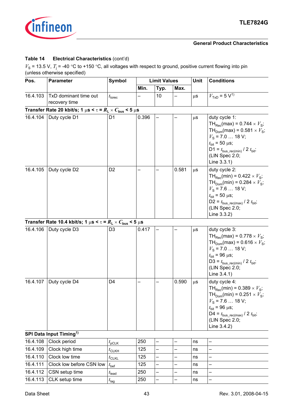

### **Table 14 Electrical Characteristics** (cont'd)

<span id="page-42-0"></span>

| Pos.     | <b>Parameter</b>                                                                 | <b>Symbol</b>                   |       | <b>Limit Values</b>      |       | Unit    | <b>Conditions</b>                                                                                                                                                                                                                                                  |  |
|----------|----------------------------------------------------------------------------------|---------------------------------|-------|--------------------------|-------|---------|--------------------------------------------------------------------------------------------------------------------------------------------------------------------------------------------------------------------------------------------------------------------|--|
|          |                                                                                  |                                 | Min.  | Typ.                     | Max.  |         |                                                                                                                                                                                                                                                                    |  |
| 16.4.103 | TxD dominant time out<br>recovery time                                           | $t_{\text{torec}}$              |       | 10                       |       | $\mu$ S | $VTxD = 5 V1$                                                                                                                                                                                                                                                      |  |
|          | Transfer Rate 20 kbit/s; 1 $\mu$ s < $\tau$ = $R_L \times C_{bus}$ < 5 $\mu$ s   |                                 |       |                          |       |         |                                                                                                                                                                                                                                                                    |  |
| 16.4.104 | Duty cycle D1                                                                    | D <sub>1</sub>                  | 0.396 |                          |       | $\mu$ s | duty cycle 1:<br>TH <sub>Rec</sub> (max) = $0.744 \times V_s$ ;<br>TH <sub>Dom</sub> (max) = $0.581 \times V_s$ ;<br>$V_s$ = 7.0  18 V;<br>$t_{\text{bit}} = 50 \,\mu s$ ;<br>D1 = $t_{bus\_rec(min)}$ / 2 $t_{bit}$ ;<br>(LIN Spec 2.0;<br>Line 3.3.1)            |  |
| 16.4.105 | Duty cycle D2                                                                    | D <sub>2</sub>                  |       |                          | 0.581 | $\mu$ S | duty cycle 2:<br>TH <sub>Rec</sub> (min) = $0.422 \times V_s$ ;<br>TH <sub>Dom</sub> (min) = $0.284 \times V_s$ ;<br>$V_s$ = 7.6  18 V;<br>$t_{\text{bit}} = 50 \,\mu s$ ;<br>D2 = $t_{bus\_rec(max)}$ / 2 $t_{bit}$ ;<br>(LIN Spec 2.0;<br>Line 3.3.2)            |  |
|          | Transfer Rate 10.4 kbit/s; 1 $\mu$ s < $\tau$ = $R_L \times C_{bus}$ < 5 $\mu$ s |                                 |       |                          |       |         |                                                                                                                                                                                                                                                                    |  |
| 16.4.106 | Duty cycle D3                                                                    | D <sub>3</sub>                  | 0.417 |                          |       | $\mu$ S | duty cycle 3:<br>TH <sub>Rec</sub> (max) = $0.778 \times V_s$ ;<br>TH <sub>Dom</sub> (max) = $0.616 \times V_s$ ;<br>$V_s$ = 7.0  18 V;<br>$t_{\text{bit}}$ = 96 µs;<br>D3 = $t_{\text{bus\_rec(min)}}$ / 2 $t_{\text{bit}}$ ;<br>(LIN Spec 2.0;<br>Line $3.4.1$ ) |  |
| 16.4.107 | Duty cycle D4                                                                    | D <sub>4</sub>                  |       |                          | 0.590 | $\mu$ s | duty cycle 4:<br>TH <sub>Rec</sub> (min) = $0.389 \times V_s$ ;<br>TH <sub>Dom</sub> (min) = $0.251 \times V_s$ ;<br>$V_{\rm s}$ = 7.6  18 V;<br>$t_{\text{bit}} = 96 \,\mu s$ ;<br>D4 = $t_{bus\_rec(max)}$ / 2 $t_{bit}$ ;<br>(LIN Spec 2.0;<br>Line 3.4.2)      |  |
|          | SPI Data Input Timing <sup>1)</sup>                                              |                                 |       |                          |       |         |                                                                                                                                                                                                                                                                    |  |
| 16.4.108 | Clock period                                                                     | $t_{\sf pCLK}$                  | 250   |                          |       | ns      |                                                                                                                                                                                                                                                                    |  |
| 16.4.109 | Clock high time                                                                  | $t_{\scriptstyle{\text{CLKH}}}$ | 125   |                          |       | ns      |                                                                                                                                                                                                                                                                    |  |
| 16.4.110 | Clock low time                                                                   | $t_{CLKL}$                      | 125   | —                        |       | ns      |                                                                                                                                                                                                                                                                    |  |
| 16.4.111 | Clock low before CSN low                                                         | $t_{\text{bef}}$                | 125   |                          |       | ns      |                                                                                                                                                                                                                                                                    |  |
| 16.4.112 | CSN setup time                                                                   | $t_{\text{lead}}$               | 250   | $\overline{\phantom{0}}$ |       | ns      |                                                                                                                                                                                                                                                                    |  |
| 16.4.113 | CLK setup time                                                                   | $t_{\text{lag}}$                | 250   | —                        | —     | ns      | —                                                                                                                                                                                                                                                                  |  |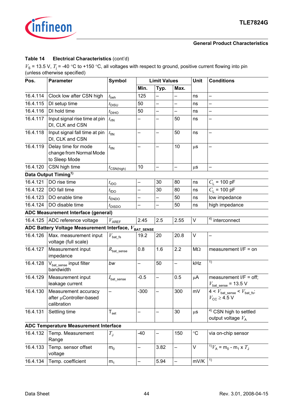

### **Table 14 Electrical Characteristics** (cont'd)

<span id="page-43-1"></span><span id="page-43-0"></span>

| Pos.     | <b>Symbol</b><br><b>Limit Values</b><br><b>Parameter</b>             |                                 |                          |                          |                          | <b>Unit</b>     | <b>Conditions</b>                                                                       |  |  |
|----------|----------------------------------------------------------------------|---------------------------------|--------------------------|--------------------------|--------------------------|-----------------|-----------------------------------------------------------------------------------------|--|--|
|          |                                                                      |                                 | Min.                     | Typ.                     | Max.                     |                 |                                                                                         |  |  |
| 16.4.114 | Clock low after CSN high                                             | $t_{\sf{beh}}$                  | 125                      | $\overline{\phantom{0}}$ | —                        | ns              | $\overline{\phantom{0}}$                                                                |  |  |
| 16.4.115 | DI setup time                                                        | $t_{\text{DISU}}$               | 50                       |                          |                          | ns              |                                                                                         |  |  |
| 16.4.116 | DI hold time                                                         | $t_{\text{DHO}}$                | 50                       |                          |                          | ns              | $\overline{\phantom{0}}$                                                                |  |  |
| 16.4.117 | Input signal rise time at pin<br>DI, CLK and CSN                     | $t_{\text{rIN}}$                |                          |                          | 50                       | ns              |                                                                                         |  |  |
| 16.4.118 | Input signal fall time at pin<br>DI, CLK and CSN                     | $t_{\text{fIN}}$                |                          |                          | 50                       | ns              |                                                                                         |  |  |
| 16.4.119 | Delay time for mode<br>change from Normal Mode<br>to Sleep Mode      | $t_{\text{fIN}}$                |                          |                          | 10                       | $\mu$ S         |                                                                                         |  |  |
| 16.4.120 | CSN high time                                                        | $t_{\text{CSN(high)}}$          | 10                       | $\overline{\phantom{0}}$ | $\overline{\phantom{0}}$ | $\mu$ S         | $\overline{\phantom{0}}$                                                                |  |  |
|          | Data Output Timing <sup>1)</sup>                                     |                                 |                          |                          |                          |                 |                                                                                         |  |  |
| 16.4.121 | DO rise time                                                         | $t_{\text{rDO}}$                |                          | 30                       | 80                       | ns              | $C_1$ = 100 pF                                                                          |  |  |
| 16.4.122 | DO fall time                                                         | $t_{\text{fDO}}$                |                          | 30                       | 80                       | ns              | $C_1$ = 100 pF                                                                          |  |  |
| 16.4.123 | DO enable time                                                       | $t_{\mathsf{ENDO}}$             |                          |                          | 50                       | ns              | low impedance                                                                           |  |  |
| 16.4.124 | DO disable time                                                      | $t_{\text{DISDO}}$              |                          |                          | 50                       | ns              | high impedance                                                                          |  |  |
|          | ADC Measurement Interface (general)                                  |                                 |                          |                          |                          |                 |                                                                                         |  |  |
| 16.4.125 | ADC reference voltage                                                | $V_{\sf AREF}$                  | 2.45                     | 2.5                      | 2.55                     | V               | $4)$ interconnect                                                                       |  |  |
|          | ADC Battery Voltage Measurement Interface, $V_{\texttt{BAT\_SENSE}}$ |                                 |                          |                          |                          |                 |                                                                                         |  |  |
| 16.4.126 | Max. measurement input<br>voltage (full scale)                       | $V_{\mathsf{bat}\_\mathsf{fs}}$ | 19.2                     | 20                       | 20.8                     | V               |                                                                                         |  |  |
| 16.4.127 | Measurement input<br>impedance                                       | $R_{\mathsf{bat\_sense}}$       | 0.8                      | 1.6                      | 2.2                      | $M\Omega$       | measurement $I/F = on$                                                                  |  |  |
| 16.4.128 | $V_{\text{bat\_sense}}$ input filter<br>bandwidth                    | bw                              | $\overline{\phantom{0}}$ | 50                       | $\overline{\phantom{0}}$ | kHz             | 1)                                                                                      |  |  |
| 16.4.129 | Measurement input<br>leakage current                                 | $I_{\mathsf{bat\_sense}}$       | $-0.5$                   | $\overline{\phantom{0}}$ | 0.5                      | μA              | measurement $I/F = off;$<br>$V_{\text{bat\_sense}}$ = 13.5 V                            |  |  |
| 16.4.130 | Measurement accuracy<br>after µController-based<br>calibration       | —                               | $-300$                   |                          | 300                      | mV              | $4 < V_{\text{bat\_sense}} < V_{\text{bat\_fs}};$<br>$V_{\text{CC}} \geq 4.5 \text{ V}$ |  |  |
| 16.4.131 | Settling time                                                        | $\mathsf{T}_{\mathsf{set}}$     |                          |                          | 30                       | $\mu$ s         | <sup>4)</sup> CSN high to settled<br>output voltage $V_A$                               |  |  |
|          | <b>ADC Temperature Measurement Interface</b>                         |                                 |                          |                          |                          |                 |                                                                                         |  |  |
| 16.4.132 | Temp. Measurement<br>Range                                           | $T_{\rm J}$                     | $-40$                    | $\overline{\phantom{0}}$ | 150                      | $\rm ^{\circ}C$ | via on-chip sensor                                                                      |  |  |
| 16.4.133 | Temp. sensor offset<br>voltage                                       | m <sub>0</sub>                  | -                        | 3.82                     | —                        | V               | <sup>1)</sup> $V_A$ = m <sub>0</sub> - m <sub>1</sub> x $T_J$                           |  |  |
| 16.4.134 | Temp. coefficient                                                    | m <sub>1</sub>                  | $\qquad \qquad -$        | 5.94                     | -                        | mV/K            | 1)                                                                                      |  |  |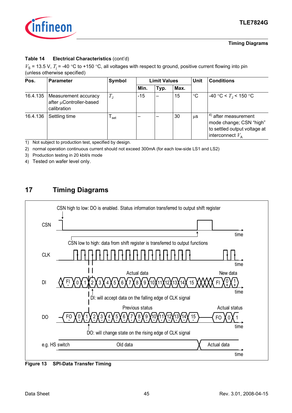

### **Timing Diagrams**

### **Table 14 Electrical Characteristics** (cont'd)

 $V_s$  = 13.5 V,  $T_j$  = -40 °C to +150 °C, all voltages with respect to ground, positive current flowing into pin (unless otherwise specified)

| Pos.     | <b>Parameter</b>                                               | Symbol      |       | <b>Limit Values</b> |      | Unit        | <b>Conditions</b>                                                                                                 |  |  |
|----------|----------------------------------------------------------------|-------------|-------|---------------------|------|-------------|-------------------------------------------------------------------------------------------------------------------|--|--|
|          |                                                                |             | Min.  | Typ.                | Max. |             |                                                                                                                   |  |  |
| 16.4.135 | Measurement accuracy<br>after µController-based<br>calibration | $T_{\rm J}$ | $-15$ |                     | 15   | $^{\circ}C$ | $-40 °C < T1 < 150 °C$                                                                                            |  |  |
| 16.4.136 | Settling time                                                  | set         |       |                     | 30   | $\mu$ S     | $^{(4)}$ after measurement<br>mode change; CSN "high"<br>to settled output voltage at<br>interconnect $V_{\rm A}$ |  |  |

<span id="page-44-1"></span>1) Not subject to production test, specified by design.

2) normal operation continuous current should not exceed 300mA (for each low-side LS1 and LS2)

3) Production testing in 20 kbit/s mode

<span id="page-44-2"></span>4) Tested on wafer level only.

<span id="page-44-0"></span>

**Figure 13 SPI-Data Transfer Timing**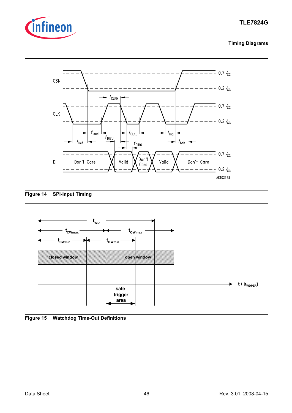







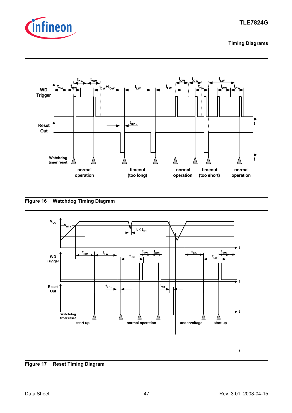







<span id="page-46-0"></span>**Figure 17 Reset Timing Diagram**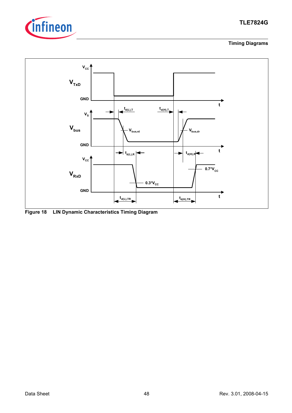



**Figure 18 LIN Dynamic Characteristics Timing Diagram**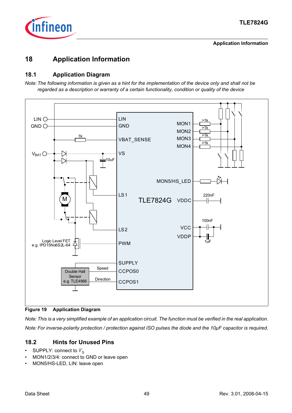

### **Application Information**

# <span id="page-48-0"></span>**18 Application Information**

### <span id="page-48-1"></span>**18.1 Application Diagram**

*Note: The following information is given as a hint for the implementation of the device only and shall not be regarded as a description or warranty of a certain functionality, condition or quality of the device*



**Figure 19 Application Diagram**

*Note: This is a very simplified example of an application circuit. The function must be verified in the real application. Note: For inverse-polarity protection / protection against ISO pulses the diode and the 10µF capacitor is required.*

# <span id="page-48-2"></span>**18.2 Hints for Unused Pins**

- SUPPLY: connect to  $V_{\rm S}$
- MON1/2/3/4: connect to GND or leave open
- MON5/HS-LED, LIN: leave open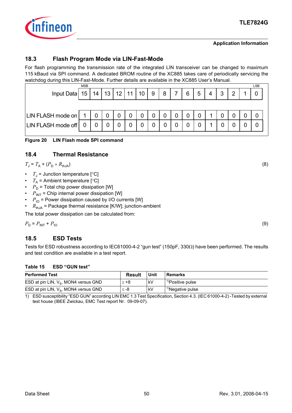

### **Application Information**

### <span id="page-49-0"></span>**18.3 Flash Program Mode via LIN-Fast-Mode**

For flash programming the transmission rate of the integrated LIN transceiver can be changed to maximum 115 kBaud via SPI command. A dedicated BROM routine of the XC885 takes care of periodically servicing the watchdog during this LIN-Fast-Mode. Further details are available in the XC885 User's Manual.

| <b>MSB</b>              |    |    |    |    |    |   |   |   |   |   |   |   | LSB |
|-------------------------|----|----|----|----|----|---|---|---|---|---|---|---|-----|
| Input Data<br>15        | 14 | 13 | 12 | 11 | 10 | 9 | 8 | – | 6 | 5 | n | ົ |     |
|                         |    |    |    |    |    |   |   |   |   |   |   |   |     |
|                         |    |    |    |    |    |   |   |   |   |   |   |   |     |
| LIN FLASH mode off<br>0 | 0  |    |    |    |    |   |   |   |   |   |   |   |     |
|                         |    |    |    |    |    |   |   |   |   |   |   |   |     |

**Figure 20 LIN Flash mode SPI command**

### <span id="page-49-1"></span>**18.4 Thermal Resistance**

 $T_1 = T_A + (P_D \times R_{th})$  (8)

- $T_{\rm J}$  = Junction temperature [°C]
- $T_A$  = Ambient temperature [°C]
- $P_D$  = Total chip power dissipation [W]
- $P_{INT}$  = Chip internal power dissipation [W]
- $P_{\text{IO}}$  = Power dissipation caused by I/O currents [W]
- $R_{thJA}$  = Package thermal resistance [K/W]; junction-ambient

The total power dissipation can be calculated from:

 $P_{\text{D}} = P_{\text{INT}} + P_{\text{10}}$  (9)

# <span id="page-49-2"></span>**18.5 ESD Tests**

Tests for ESD robustness according to IEC61000-4-2 "gun test" (150pF, 330Ω) have been performed. The results and test condition are available in a test report.

### **Table 15 ESD "GUN test"**

| <b>Performed Test</b>                   | <b>Result</b> | Unit | <b>Remarks</b>               |
|-----------------------------------------|---------------|------|------------------------------|
| ESD at pin LIN, $V_s$ , MON4 versus GND | $> +8$        | k٧   | <sup>1)</sup> Positive pulse |
| ESD at pin LIN, $V_s$ , MON4 versus GND | ≤ -8          | k٧   | <sup>1)</sup> Negative pulse |

<span id="page-49-3"></span>1) ESD susceptibility "ESD GUN" according LIN EMC 1.3 Test Specification, Section 4.3. (IEC 61000-4-2) -Tested by external test house (IBEE Zwickau, EMC Test report Nr. 09-09-07).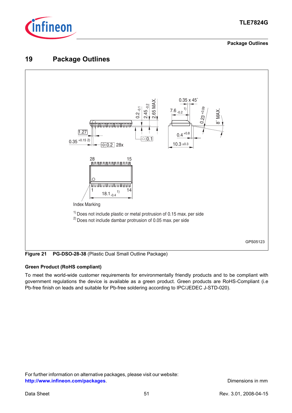

### **Package Outlines**

# <span id="page-50-0"></span>**19 Package Outlines**



**Figure 21 PG-DSO-28-38** (Plastic Dual Small Outline Package)

### **Green Product (RoHS compliant)**

To meet the world-wide customer requirements for environmentally friendly products and to be compliant with government regulations the device is available as a green product. Green products are RoHS-Compliant (i.e Pb-free finish on leads and suitable for Pb-free soldering according to IPC/JEDEC J-STD-020).

For further information on alternative packages, please visit our website: **[http://www.infineon.com/packages](http://www.infineon.com/packages/)**. **Dimensions in mm**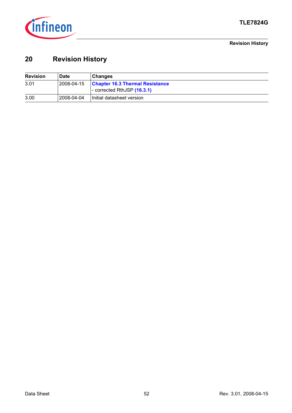

**Revision History**

# <span id="page-51-0"></span>**20 Revision History**

| <b>Revision</b> | <b>Date</b> | ∣ Chanqes                                                             |
|-----------------|-------------|-----------------------------------------------------------------------|
| 3.01            | 2008-04-15  | <b>Chapter 16.3 Thermal Resistance</b><br>- corrected RthJSP (16.3.1) |
| 3.00            | 2008-04-04  | Initial datasheet version                                             |